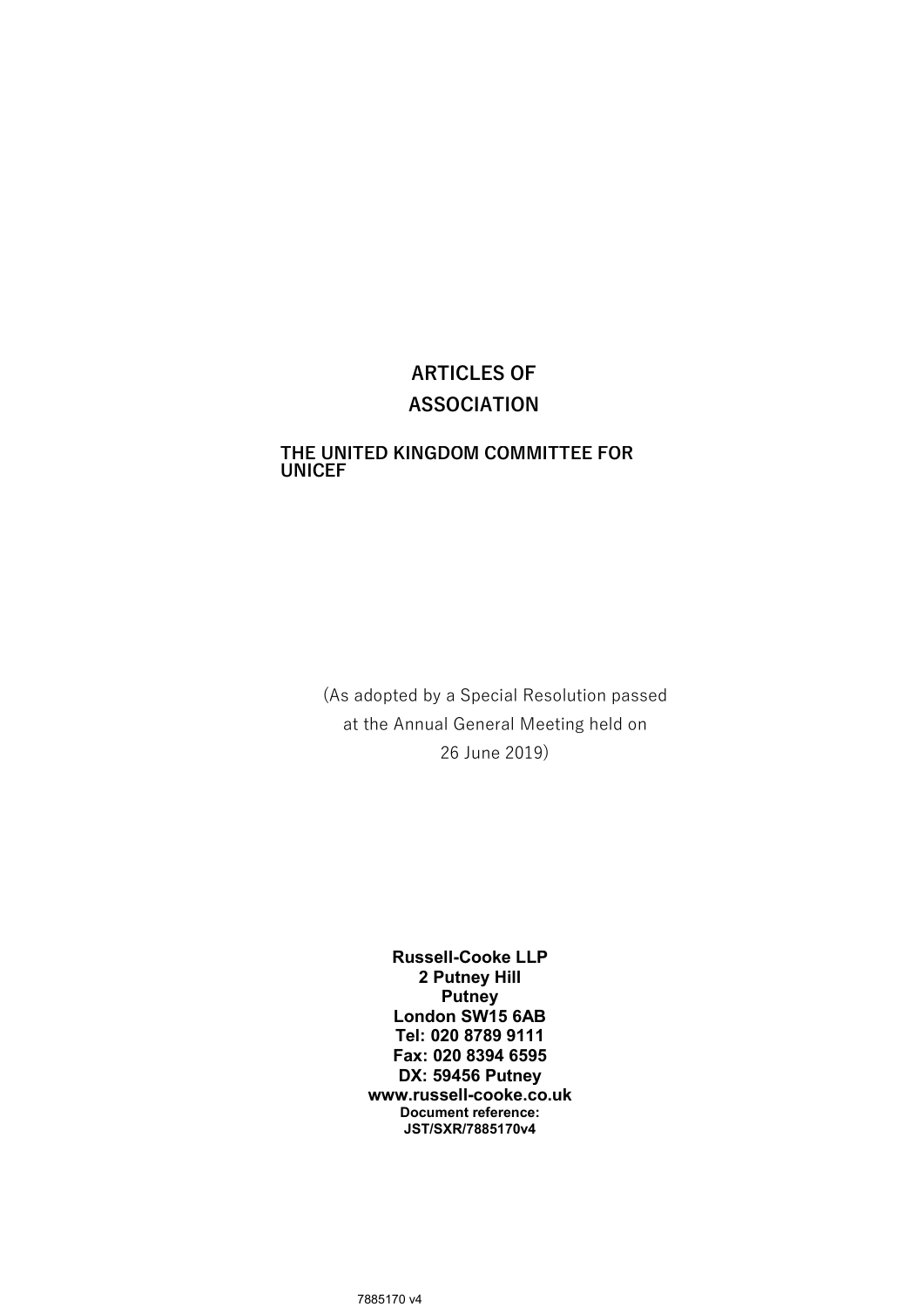# ARTICLES OF ASSOCIATION

#### THE UNITED KINGDOM COMMITTEE FOR UNICEF

(As adopted by a Special Resolution passed at the Annual General Meeting held on 26 June 2019)

> Russell-Cooke LLP 2 Putney Hill **Putney** London SW15 6AB Tel: 020 8789 9111 Fax: 020 8394 6595 DX: 59456 Putney www.russell-cooke.co.uk Document reference: JST/SXR/7885170v4

7885170 v4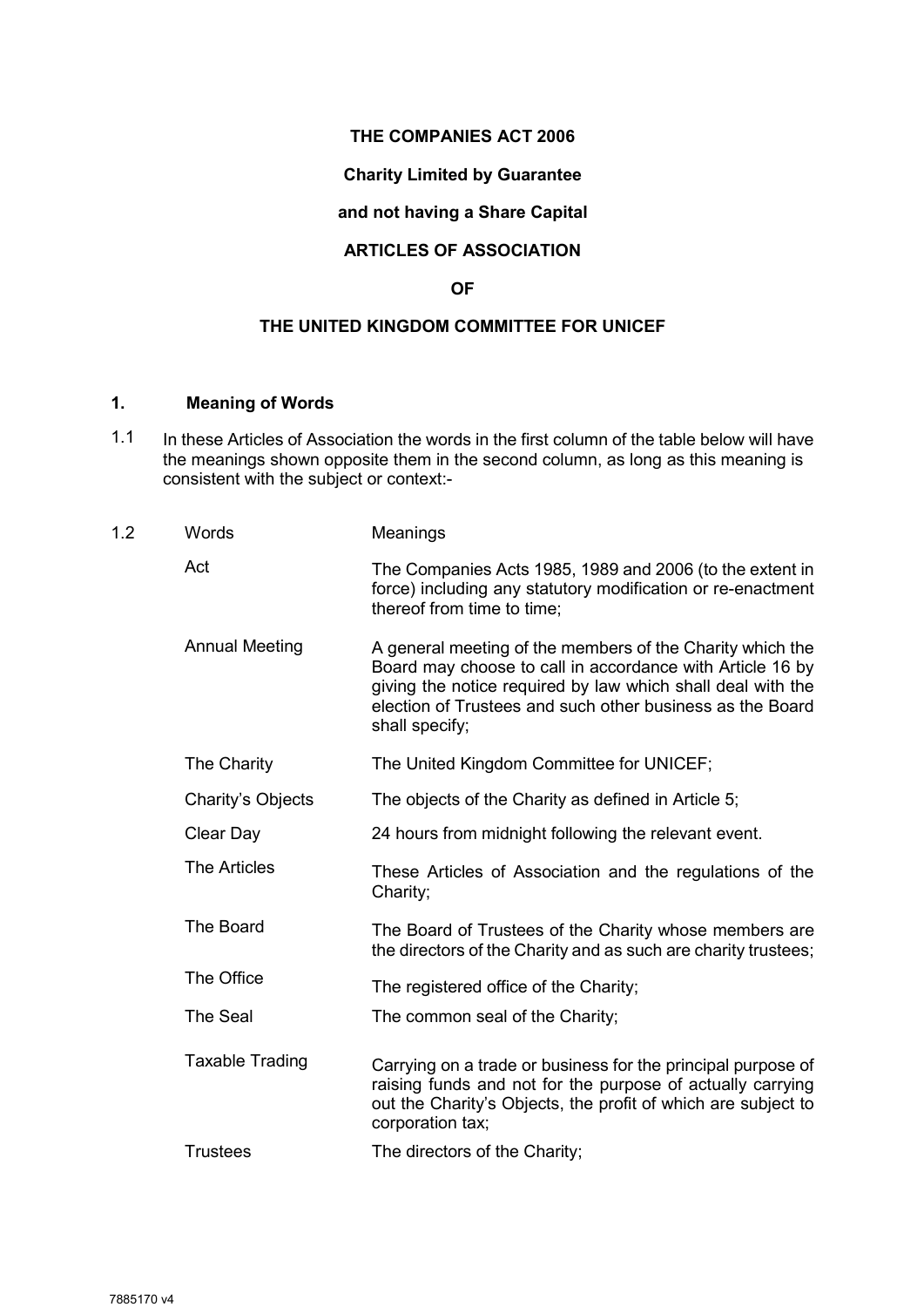# THE COMPANIES ACT 2006

# Charity Limited by Guarantee

# and not having a Share Capital

# ARTICLES OF ASSOCIATION

# OF

# THE UNITED KINGDOM COMMITTEE FOR UNICEF

# 1. Meaning of Words

1.1 In these Articles of Association the words in the first column of the table below will have the meanings shown opposite them in the second column, as long as this meaning is consistent with the subject or context:-

| 1.2 | Words                  | Meanings                                                                                                                                                                                                                                                             |
|-----|------------------------|----------------------------------------------------------------------------------------------------------------------------------------------------------------------------------------------------------------------------------------------------------------------|
|     | Act                    | The Companies Acts 1985, 1989 and 2006 (to the extent in<br>force) including any statutory modification or re-enactment<br>thereof from time to time;                                                                                                                |
|     | <b>Annual Meeting</b>  | A general meeting of the members of the Charity which the<br>Board may choose to call in accordance with Article 16 by<br>giving the notice required by law which shall deal with the<br>election of Trustees and such other business as the Board<br>shall specify; |
|     | The Charity            | The United Kingdom Committee for UNICEF;                                                                                                                                                                                                                             |
|     | Charity's Objects      | The objects of the Charity as defined in Article 5;                                                                                                                                                                                                                  |
|     | Clear Day              | 24 hours from midnight following the relevant event.                                                                                                                                                                                                                 |
|     | <b>The Articles</b>    | These Articles of Association and the regulations of the<br>Charity;                                                                                                                                                                                                 |
|     | The Board              | The Board of Trustees of the Charity whose members are<br>the directors of the Charity and as such are charity trustees;                                                                                                                                             |
|     | The Office             | The registered office of the Charity;                                                                                                                                                                                                                                |
|     | <b>The Seal</b>        | The common seal of the Charity;                                                                                                                                                                                                                                      |
|     | <b>Taxable Trading</b> | Carrying on a trade or business for the principal purpose of<br>raising funds and not for the purpose of actually carrying<br>out the Charity's Objects, the profit of which are subject to<br>corporation tax;                                                      |
|     | <b>Trustees</b>        | The directors of the Charity;                                                                                                                                                                                                                                        |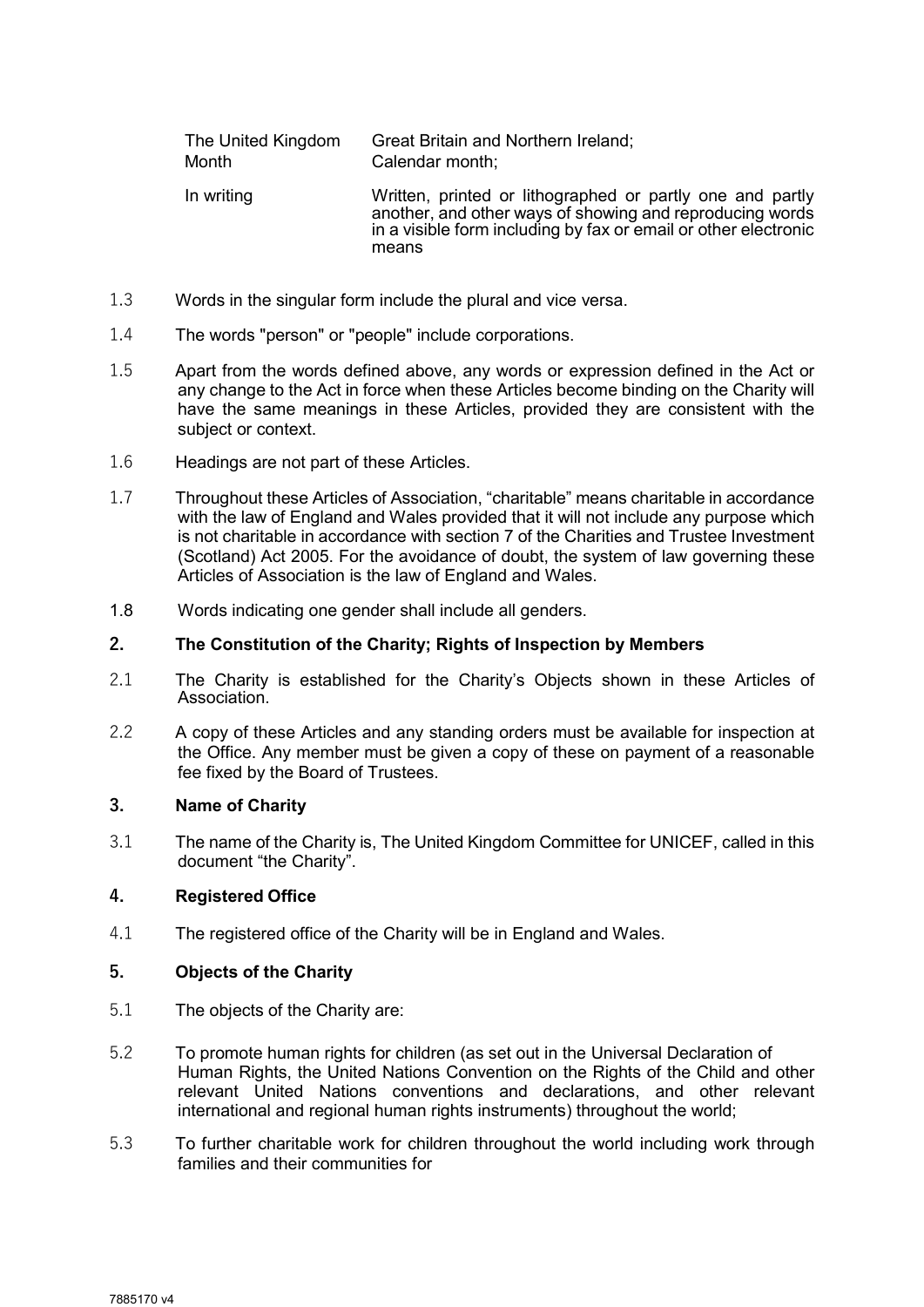| The United Kingdom | Great Britain and Northern Ireland;                                                                                                                                                               |
|--------------------|---------------------------------------------------------------------------------------------------------------------------------------------------------------------------------------------------|
| Month              | Calendar month;                                                                                                                                                                                   |
| In writing         | Written, printed or lithographed or partly one and partly<br>another, and other ways of showing and reproducing words<br>in a visible form including by fax or email or other electronic<br>means |

- 1.3 Words in the singular form include the plural and vice versa.
- 1.4 The words "person" or "people" include corporations.
- 1.5 Apart from the words defined above, any words or expression defined in the Act or any change to the Act in force when these Articles become binding on the Charity will have the same meanings in these Articles, provided they are consistent with the subject or context.
- 1.6 Headings are not part of these Articles.
- 1.7 Throughout these Articles of Association, "charitable" means charitable in accordance with the law of England and Wales provided that it will not include any purpose which is not charitable in accordance with section 7 of the Charities and Trustee Investment (Scotland) Act 2005. For the avoidance of doubt, the system of law governing these Articles of Association is the law of England and Wales.
- 1.8 Words indicating one gender shall include all genders.

# 2. The Constitution of the Charity; Rights of Inspection by Members

- 2.1 The Charity is established for the Charity's Objects shown in these Articles of Association.
- 2.2 A copy of these Articles and any standing orders must be available for inspection at the Office. Any member must be given a copy of these on payment of a reasonable fee fixed by the Board of Trustees.

#### 3. Name of Charity

3.1 The name of the Charity is, The United Kingdom Committee for UNICEF, called in this document "the Charity".

# 4. Registered Office

4.1 The registered office of the Charity will be in England and Wales.

# 5. Objects of the Charity

- 5.1 The objects of the Charity are:
- 5.2 To promote human rights for children (as set out in the Universal Declaration of Human Rights, the United Nations Convention on the Rights of the Child and other relevant United Nations conventions and declarations, and other relevant international and regional human rights instruments) throughout the world;
- 5.3 To further charitable work for children throughout the world including work through families and their communities for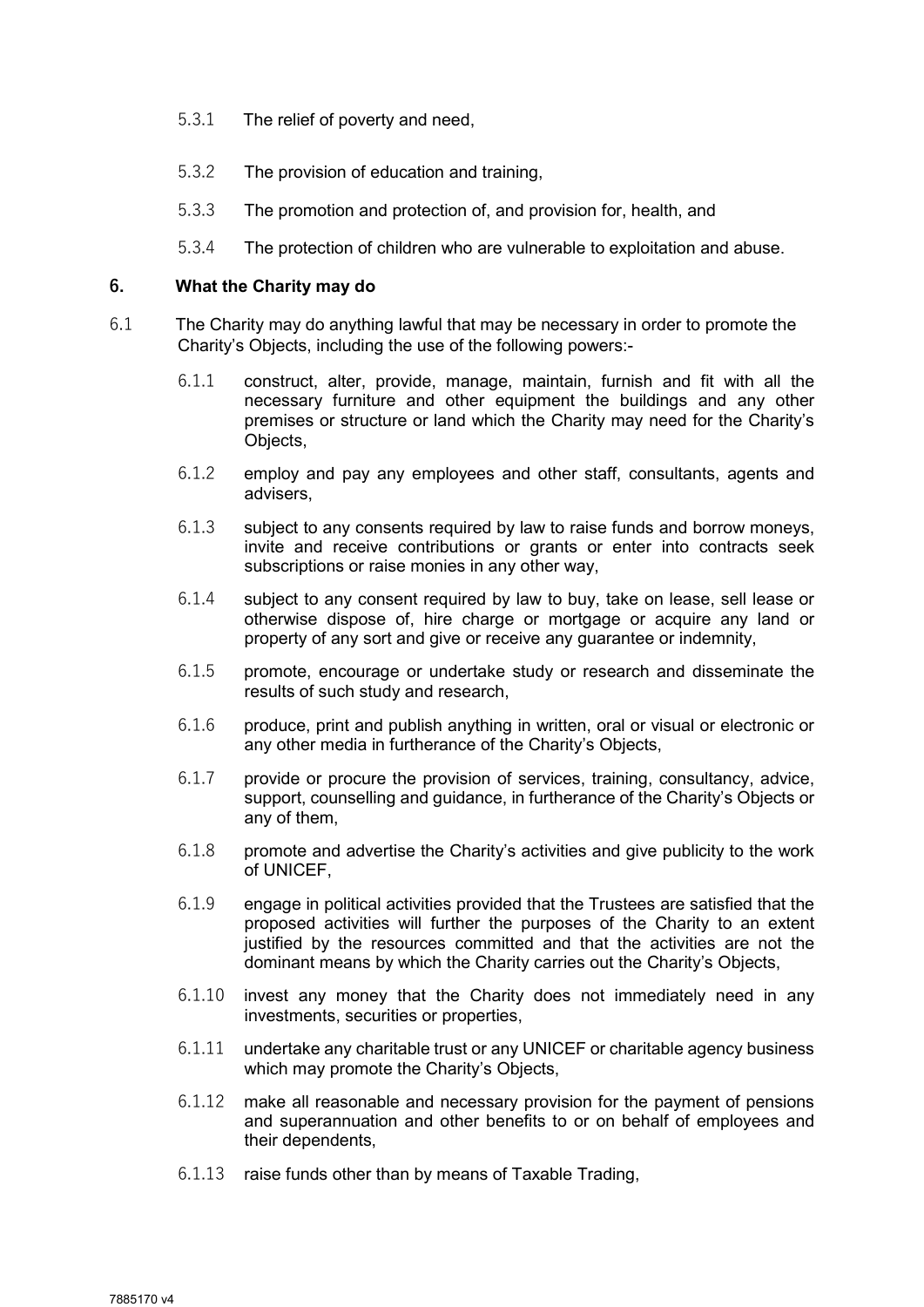- 5.3.1 The relief of poverty and need,
- 5.3.2 The provision of education and training,
- 5.3.3 The promotion and protection of, and provision for, health, and
- 5.3.4 The protection of children who are vulnerable to exploitation and abuse.

#### 6. What the Charity may do

- 6.1 The Charity may do anything lawful that may be necessary in order to promote the Charity's Objects, including the use of the following powers:-
	- 6.1.1 construct, alter, provide, manage, maintain, furnish and fit with all the necessary furniture and other equipment the buildings and any other premises or structure or land which the Charity may need for the Charity's Objects,
	- 6.1.2 employ and pay any employees and other staff, consultants, agents and advisers,
	- 6.1.3 subject to any consents required by law to raise funds and borrow moneys, invite and receive contributions or grants or enter into contracts seek subscriptions or raise monies in any other way,
	- 6.1.4 subject to any consent required by law to buy, take on lease, sell lease or otherwise dispose of, hire charge or mortgage or acquire any land or property of any sort and give or receive any guarantee or indemnity,
	- 6.1.5 promote, encourage or undertake study or research and disseminate the results of such study and research,
	- 6.1.6 produce, print and publish anything in written, oral or visual or electronic or any other media in furtherance of the Charity's Objects,
	- 6.1.7 provide or procure the provision of services, training, consultancy, advice, support, counselling and guidance, in furtherance of the Charity's Objects or any of them,
	- 6.1.8 promote and advertise the Charity's activities and give publicity to the work of UNICEF,
	- 6.1.9 engage in political activities provided that the Trustees are satisfied that the proposed activities will further the purposes of the Charity to an extent justified by the resources committed and that the activities are not the dominant means by which the Charity carries out the Charity's Objects,
	- 6.1.10 invest any money that the Charity does not immediately need in any investments, securities or properties,
	- 6.1.11 undertake any charitable trust or any UNICEF or charitable agency business which may promote the Charity's Objects,
	- 6.1.12 make all reasonable and necessary provision for the payment of pensions and superannuation and other benefits to or on behalf of employees and their dependents,
	- 6.1.13 raise funds other than by means of Taxable Trading,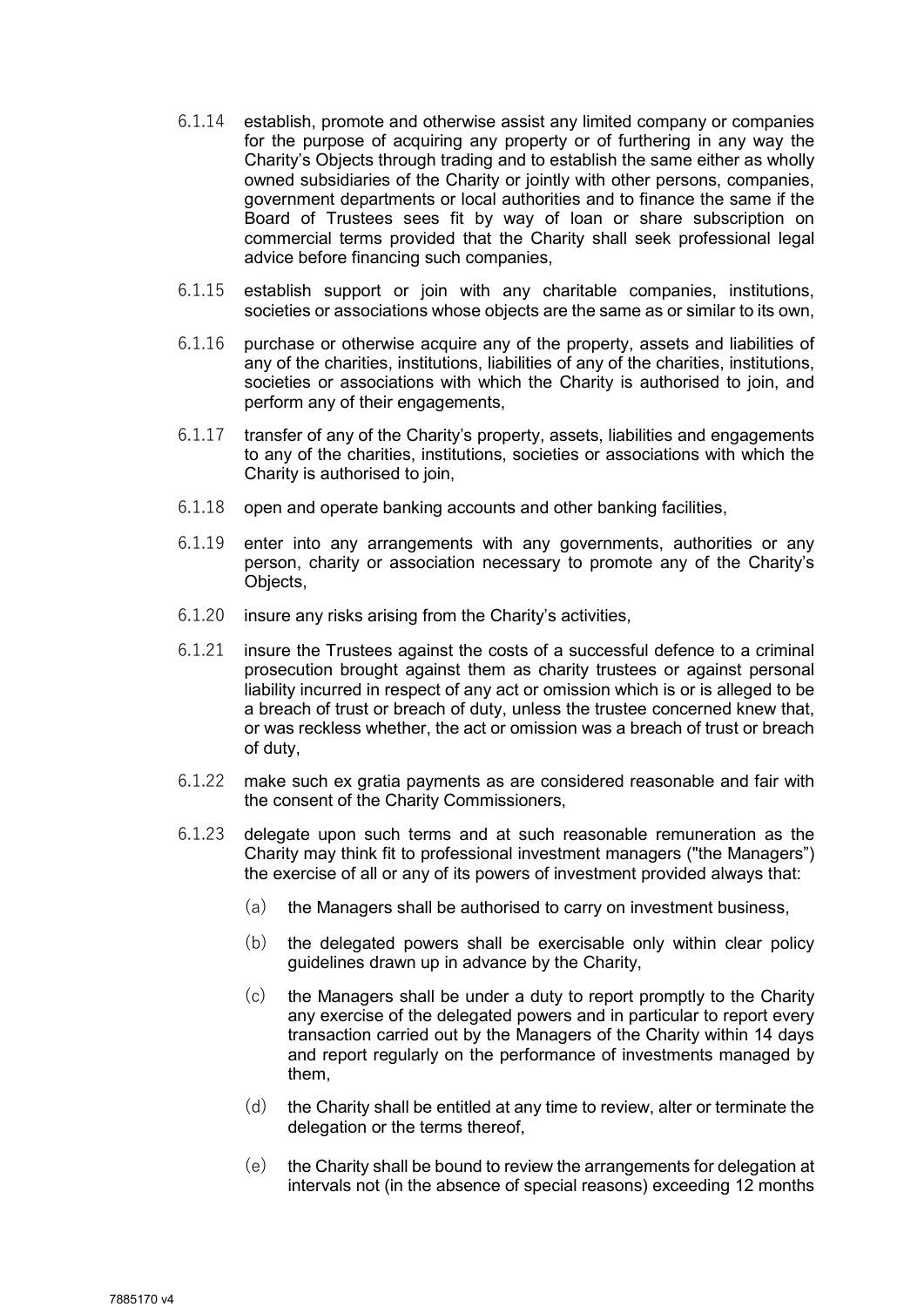- 6.1.14 establish, promote and otherwise assist any limited company or companies for the purpose of acquiring any property or of furthering in any way the Charity's Objects through trading and to establish the same either as wholly owned subsidiaries of the Charity or jointly with other persons, companies, government departments or local authorities and to finance the same if the Board of Trustees sees fit by way of loan or share subscription on commercial terms provided that the Charity shall seek professional legal advice before financing such companies,
- 6.1.15 establish support or join with any charitable companies, institutions, societies or associations whose objects are the same as or similar to its own,
- 6.1.16 purchase or otherwise acquire any of the property, assets and liabilities of any of the charities, institutions, liabilities of any of the charities, institutions, societies or associations with which the Charity is authorised to join, and perform any of their engagements,
- 6.1.17 transfer of any of the Charity's property, assets, liabilities and engagements to any of the charities, institutions, societies or associations with which the Charity is authorised to join,
- 6.1.18 open and operate banking accounts and other banking facilities,
- 6.1.19 enter into any arrangements with any governments, authorities or any person, charity or association necessary to promote any of the Charity's Objects,
- 6.1.20 insure any risks arising from the Charity's activities,
- 6.1.21 insure the Trustees against the costs of a successful defence to a criminal prosecution brought against them as charity trustees or against personal liability incurred in respect of any act or omission which is or is alleged to be a breach of trust or breach of duty, unless the trustee concerned knew that, or was reckless whether, the act or omission was a breach of trust or breach of duty,
- 6.1.22 make such ex gratia payments as are considered reasonable and fair with the consent of the Charity Commissioners,
- 6.1.23 delegate upon such terms and at such reasonable remuneration as the Charity may think fit to professional investment managers ("the Managers") the exercise of all or any of its powers of investment provided always that:
	- (a) the Managers shall be authorised to carry on investment business,
	- (b) the delegated powers shall be exercisable only within clear policy guidelines drawn up in advance by the Charity,
	- (c) the Managers shall be under a duty to report promptly to the Charity any exercise of the delegated powers and in particular to report every transaction carried out by the Managers of the Charity within 14 days and report regularly on the performance of investments managed by them,
	- (d) the Charity shall be entitled at any time to review, alter or terminate the delegation or the terms thereof,
	- $(e)$  the Charity shall be bound to review the arrangements for delegation at intervals not (in the absence of special reasons) exceeding 12 months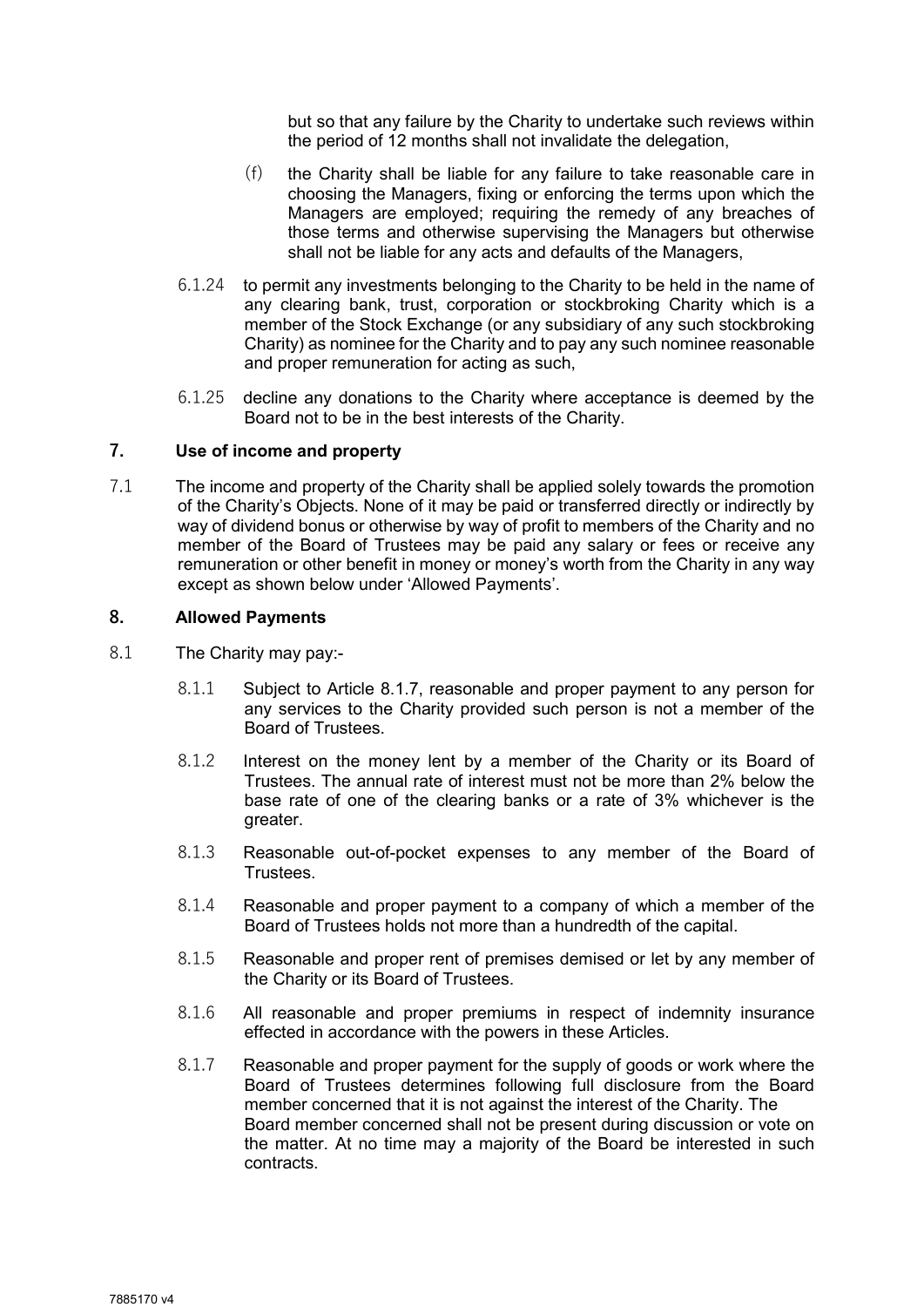but so that any failure by the Charity to undertake such reviews within the period of 12 months shall not invalidate the delegation,

- (f) the Charity shall be liable for any failure to take reasonable care in choosing the Managers, fixing or enforcing the terms upon which the Managers are employed; requiring the remedy of any breaches of those terms and otherwise supervising the Managers but otherwise shall not be liable for any acts and defaults of the Managers,
- 6.1.24 to permit any investments belonging to the Charity to be held in the name of any clearing bank, trust, corporation or stockbroking Charity which is a member of the Stock Exchange (or any subsidiary of any such stockbroking Charity) as nominee for the Charity and to pay any such nominee reasonable and proper remuneration for acting as such,
- 6.1.25 decline any donations to the Charity where acceptance is deemed by the Board not to be in the best interests of the Charity.

#### 7. Use of income and property

7.1 The income and property of the Charity shall be applied solely towards the promotion of the Charity's Objects. None of it may be paid or transferred directly or indirectly by way of dividend bonus or otherwise by way of profit to members of the Charity and no member of the Board of Trustees may be paid any salary or fees or receive any remuneration or other benefit in money or money's worth from the Charity in any way except as shown below under 'Allowed Payments'.

#### 8. Allowed Payments

- 8.1 The Charity may pay:-
	- 8.1.1 Subject to Article 8.1.7, reasonable and proper payment to any person for any services to the Charity provided such person is not a member of the Board of Trustees.
	- 8.1.2 Interest on the money lent by a member of the Charity or its Board of Trustees. The annual rate of interest must not be more than 2% below the base rate of one of the clearing banks or a rate of 3% whichever is the greater.
	- 8.1.3 Reasonable out-of-pocket expenses to any member of the Board of **Trustees**
	- 8.1.4 Reasonable and proper payment to a company of which a member of the Board of Trustees holds not more than a hundredth of the capital.
	- 8.1.5 Reasonable and proper rent of premises demised or let by any member of the Charity or its Board of Trustees.
	- 8.1.6 All reasonable and proper premiums in respect of indemnity insurance effected in accordance with the powers in these Articles.
	- 8.1.7 Reasonable and proper payment for the supply of goods or work where the Board of Trustees determines following full disclosure from the Board member concerned that it is not against the interest of the Charity. The Board member concerned shall not be present during discussion or vote on the matter. At no time may a majority of the Board be interested in such contracts.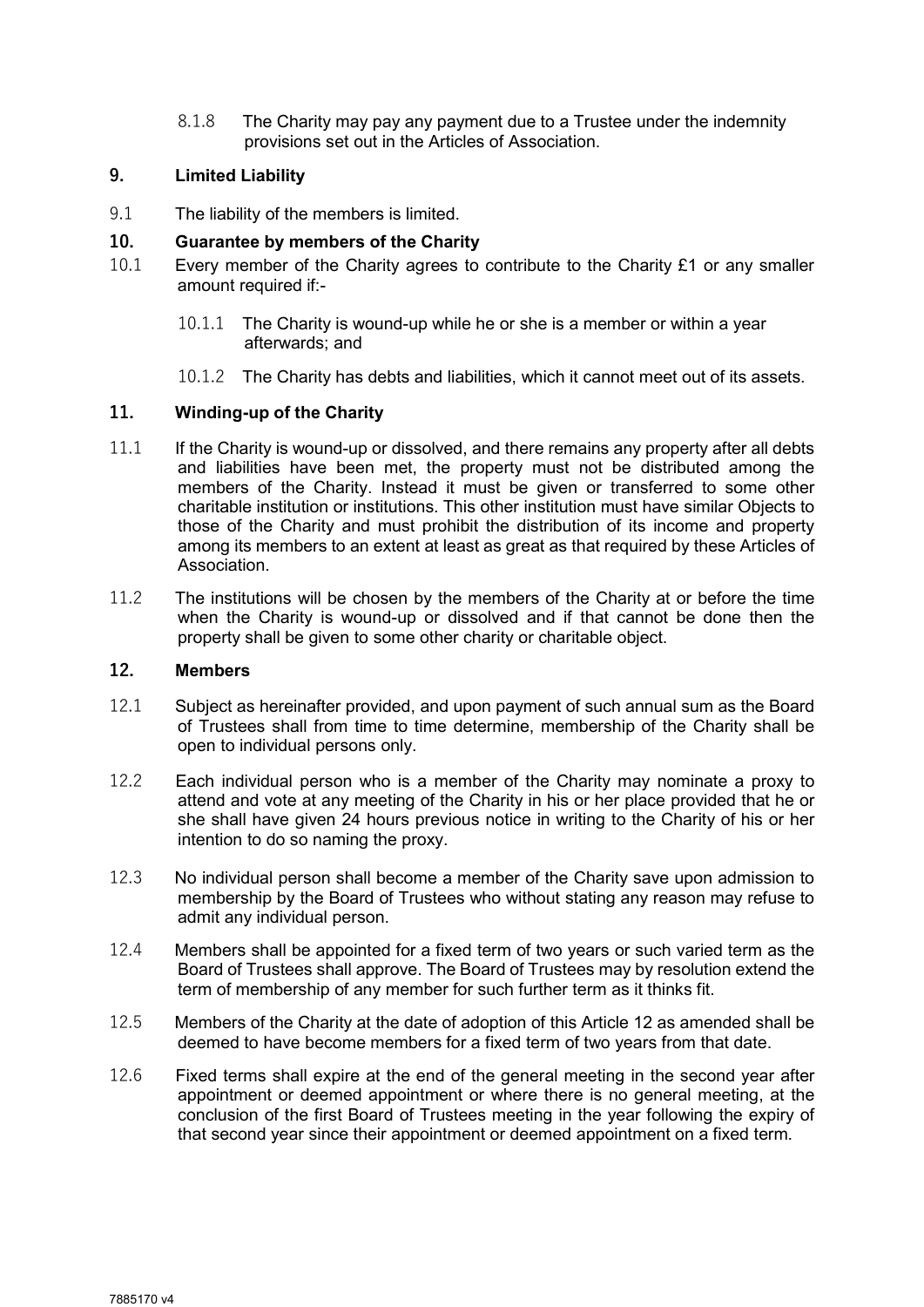8.1.8 The Charity may pay any payment due to a Trustee under the indemnity provisions set out in the Articles of Association.

# 9. Limited Liability

9.1 The liability of the members is limited.

#### 10. Guarantee by members of the Charity

- 10.1 Every member of the Charity agrees to contribute to the Charity £1 or any smaller amount required if:-
	- 10.1.1 The Charity is wound-up while he or she is a member or within a year afterwards; and
	- 10.1.2 The Charity has debts and liabilities, which it cannot meet out of its assets.

#### 11. Winding-up of the Charity

- 11.1 If the Charity is wound-up or dissolved, and there remains any property after all debts and liabilities have been met, the property must not be distributed among the members of the Charity. Instead it must be given or transferred to some other charitable institution or institutions. This other institution must have similar Objects to those of the Charity and must prohibit the distribution of its income and property among its members to an extent at least as great as that required by these Articles of Association.
- 11.2 The institutions will be chosen by the members of the Charity at or before the time when the Charity is wound-up or dissolved and if that cannot be done then the property shall be given to some other charity or charitable object.

# 12. Members

- 12.1 Subject as hereinafter provided, and upon payment of such annual sum as the Board of Trustees shall from time to time determine, membership of the Charity shall be open to individual persons only.
- 12.2 Each individual person who is a member of the Charity may nominate a proxy to attend and vote at any meeting of the Charity in his or her place provided that he or she shall have given 24 hours previous notice in writing to the Charity of his or her intention to do so naming the proxy.
- 12.3 No individual person shall become a member of the Charity save upon admission to membership by the Board of Trustees who without stating any reason may refuse to admit any individual person.
- 12.4 Members shall be appointed for a fixed term of two years or such varied term as the Board of Trustees shall approve. The Board of Trustees may by resolution extend the term of membership of any member for such further term as it thinks fit.
- 12.5 Members of the Charity at the date of adoption of this Article 12 as amended shall be deemed to have become members for a fixed term of two years from that date.
- 12.6 Fixed terms shall expire at the end of the general meeting in the second year after appointment or deemed appointment or where there is no general meeting, at the conclusion of the first Board of Trustees meeting in the year following the expiry of that second year since their appointment or deemed appointment on a fixed term.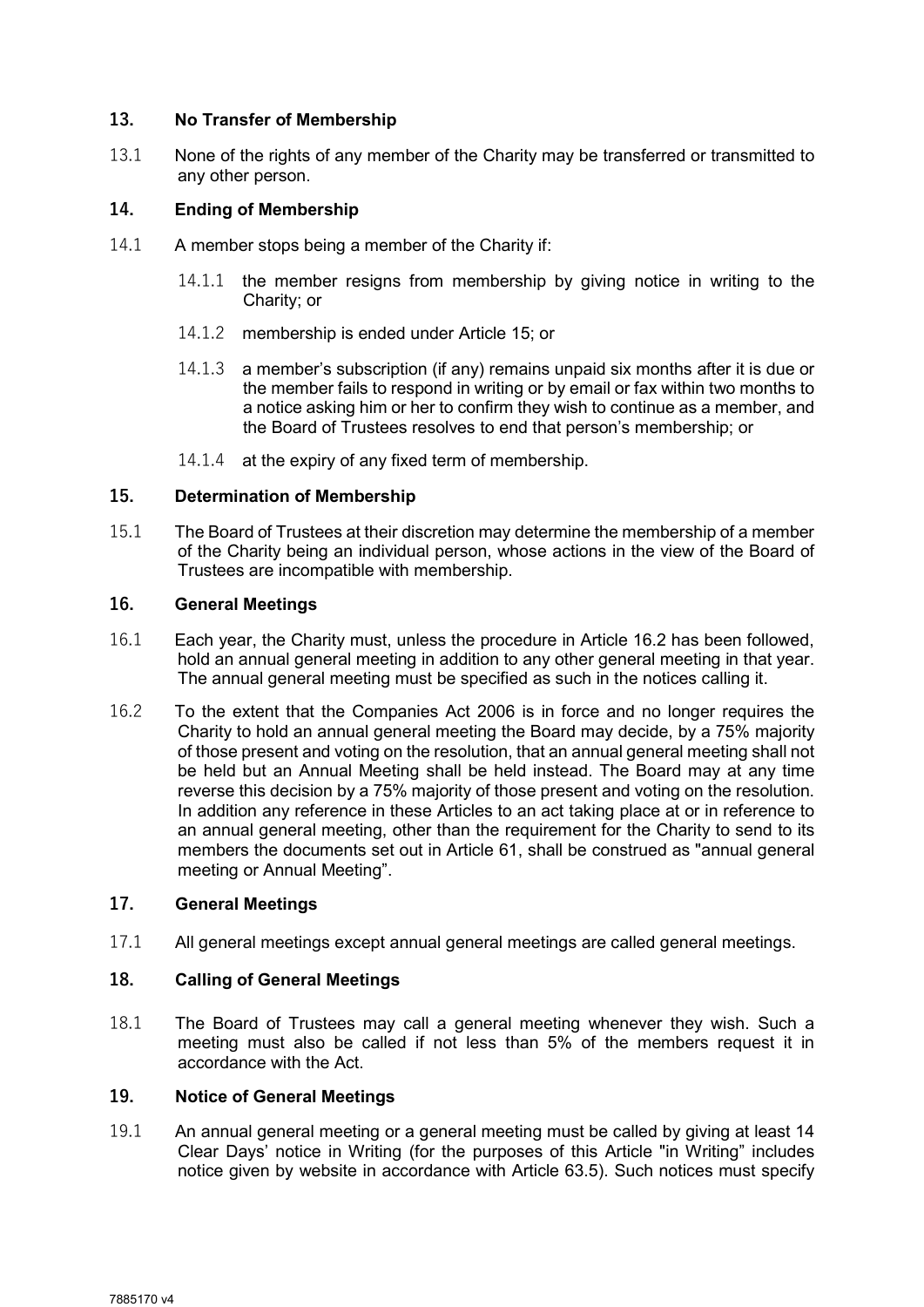# 13. No Transfer of Membership

13.1 None of the rights of any member of the Charity may be transferred or transmitted to any other person.

## 14. Ending of Membership

- 14.1 A member stops being a member of the Charity if:
	- 14.1.1 the member resigns from membership by giving notice in writing to the Charity; or
	- 14.1.2 membership is ended under Article 15; or
	- 14.1.3 a member's subscription (if any) remains unpaid six months after it is due or the member fails to respond in writing or by email or fax within two months to a notice asking him or her to confirm they wish to continue as a member, and the Board of Trustees resolves to end that person's membership; or
	- 14.1.4 at the expiry of any fixed term of membership.

#### 15. Determination of Membership

15.1 The Board of Trustees at their discretion may determine the membership of a member of the Charity being an individual person, whose actions in the view of the Board of Trustees are incompatible with membership.

# 16. General Meetings

- 16.1 Each year, the Charity must, unless the procedure in Article 16.2 has been followed, hold an annual general meeting in addition to any other general meeting in that year. The annual general meeting must be specified as such in the notices calling it.
- 16.2 To the extent that the Companies Act 2006 is in force and no longer requires the Charity to hold an annual general meeting the Board may decide, by a 75% majority of those present and voting on the resolution, that an annual general meeting shall not be held but an Annual Meeting shall be held instead. The Board may at any time reverse this decision by a 75% majority of those present and voting on the resolution. In addition any reference in these Articles to an act taking place at or in reference to an annual general meeting, other than the requirement for the Charity to send to its members the documents set out in Article 61, shall be construed as "annual general meeting or Annual Meeting".

# 17. General Meetings

17.1 All general meetings except annual general meetings are called general meetings.

#### 18. Calling of General Meetings

18.1 The Board of Trustees may call a general meeting whenever they wish. Such a meeting must also be called if not less than 5% of the members request it in accordance with the Act.

# 19. Notice of General Meetings

19.1 An annual general meeting or a general meeting must be called by giving at least 14 Clear Days' notice in Writing (for the purposes of this Article "in Writing" includes notice given by website in accordance with Article 63.5). Such notices must specify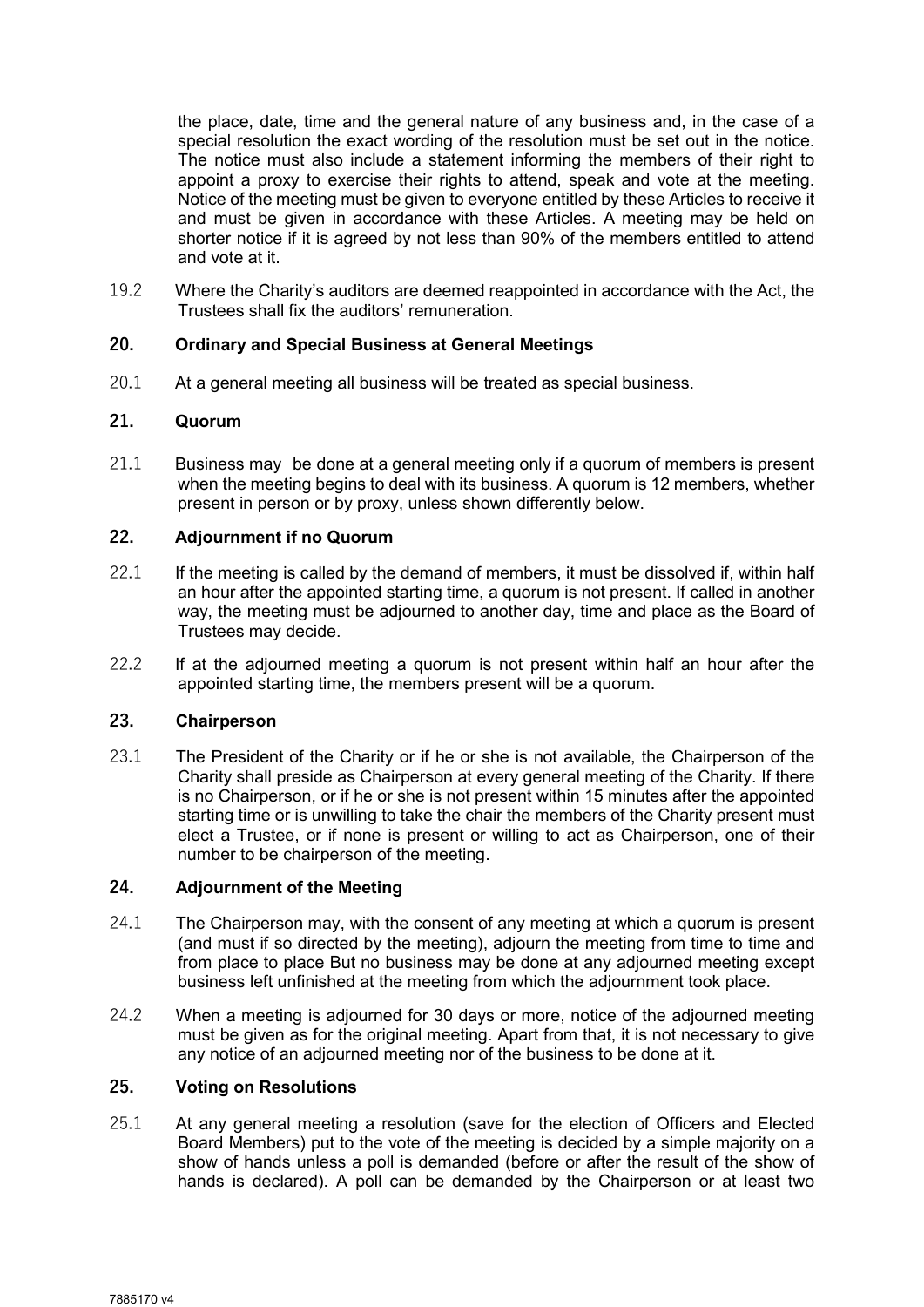the place, date, time and the general nature of any business and, in the case of a special resolution the exact wording of the resolution must be set out in the notice. The notice must also include a statement informing the members of their right to appoint a proxy to exercise their rights to attend, speak and vote at the meeting. Notice of the meeting must be given to everyone entitled by these Articles to receive it and must be given in accordance with these Articles. A meeting may be held on shorter notice if it is agreed by not less than 90% of the members entitled to attend and vote at it.

19.2 Where the Charity's auditors are deemed reappointed in accordance with the Act, the Trustees shall fix the auditors' remuneration.

# 20. Ordinary and Special Business at General Meetings

20.1 At a general meeting all business will be treated as special business.

# 21. Quorum

21.1 Business may be done at a general meeting only if a quorum of members is present when the meeting begins to deal with its business. A quorum is 12 members, whether present in person or by proxy, unless shown differently below.

# 22. Adjournment if no Quorum

- 22.1 If the meeting is called by the demand of members, it must be dissolved if, within half an hour after the appointed starting time, a quorum is not present. If called in another way, the meeting must be adjourned to another day, time and place as the Board of Trustees may decide.
- 22.2 If at the adjourned meeting a quorum is not present within half an hour after the appointed starting time, the members present will be a quorum.

# 23. Chairperson

23.1 The President of the Charity or if he or she is not available, the Chairperson of the Charity shall preside as Chairperson at every general meeting of the Charity. If there is no Chairperson, or if he or she is not present within 15 minutes after the appointed starting time or is unwilling to take the chair the members of the Charity present must elect a Trustee, or if none is present or willing to act as Chairperson, one of their number to be chairperson of the meeting.

#### 24. Adjournment of the Meeting

- 24.1 The Chairperson may, with the consent of any meeting at which a quorum is present (and must if so directed by the meeting), adjourn the meeting from time to time and from place to place But no business may be done at any adjourned meeting except business left unfinished at the meeting from which the adjournment took place.
- 24.2 When a meeting is adjourned for 30 days or more, notice of the adjourned meeting must be given as for the original meeting. Apart from that, it is not necessary to give any notice of an adjourned meeting nor of the business to be done at it.

# 25. Voting on Resolutions

25.1 At any general meeting a resolution (save for the election of Officers and Elected Board Members) put to the vote of the meeting is decided by a simple majority on a show of hands unless a poll is demanded (before or after the result of the show of hands is declared). A poll can be demanded by the Chairperson or at least two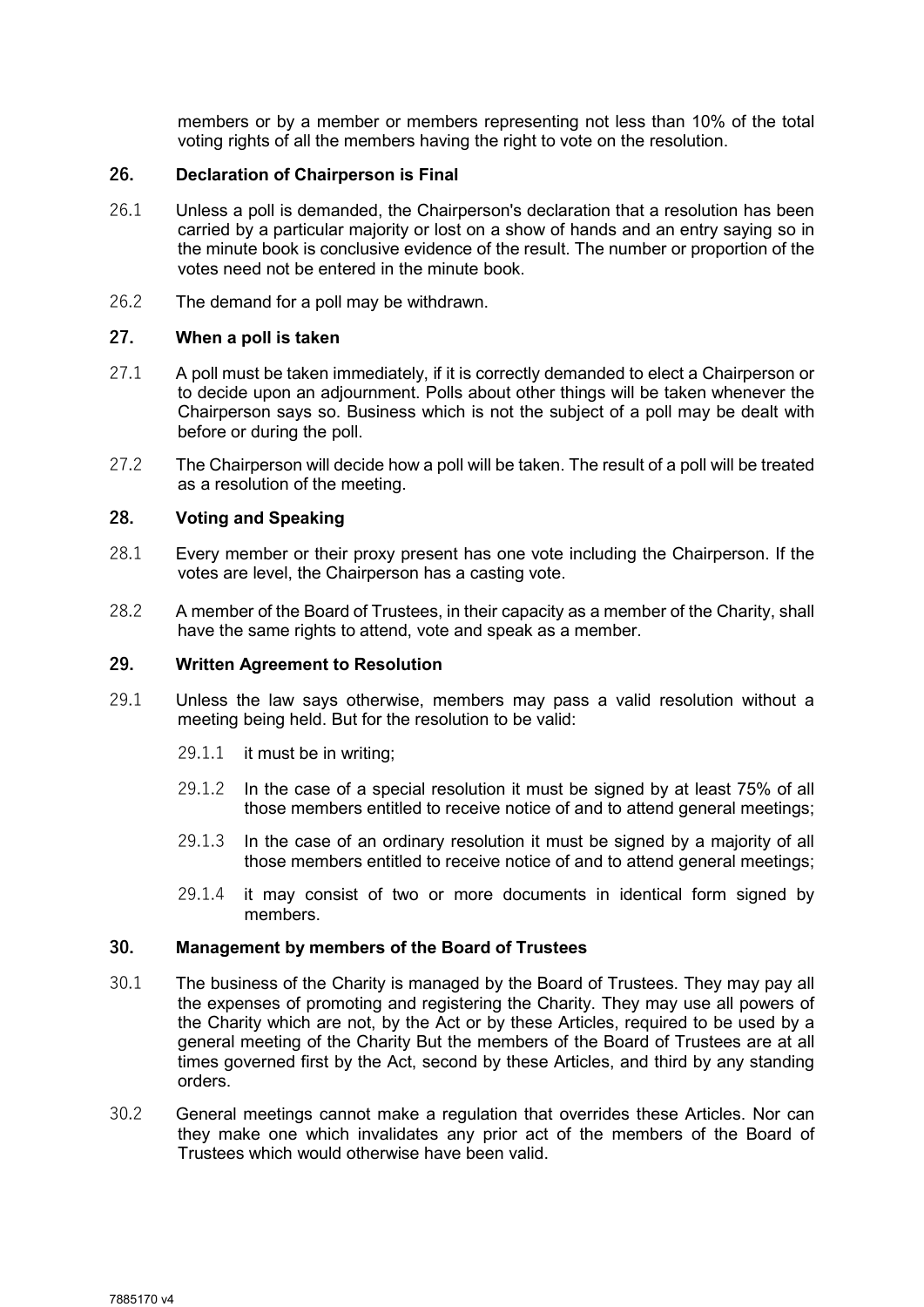members or by a member or members representing not less than 10% of the total voting rights of all the members having the right to vote on the resolution.

#### 26. Declaration of Chairperson is Final

- 26.1 Unless a poll is demanded, the Chairperson's declaration that a resolution has been carried by a particular majority or lost on a show of hands and an entry saying so in the minute book is conclusive evidence of the result. The number or proportion of the votes need not be entered in the minute book.
- 26.2 The demand for a poll may be withdrawn.

## 27. When a poll is taken

- 27.1 A poll must be taken immediately, if it is correctly demanded to elect a Chairperson or to decide upon an adjournment. Polls about other things will be taken whenever the Chairperson says so. Business which is not the subject of a poll may be dealt with before or during the poll.
- 27.2 The Chairperson will decide how a poll will be taken. The result of a poll will be treated as a resolution of the meeting.

#### 28. Voting and Speaking

- 28.1 Every member or their proxy present has one vote including the Chairperson. If the votes are level, the Chairperson has a casting vote.
- 28.2 A member of the Board of Trustees, in their capacity as a member of the Charity, shall have the same rights to attend, vote and speak as a member.

#### 29. Written Agreement to Resolution

- 29.1 Unless the law says otherwise, members may pass a valid resolution without a meeting being held. But for the resolution to be valid:
	- 29.1.1 it must be in writing;
	- 29.1.2 In the case of a special resolution it must be signed by at least 75% of all those members entitled to receive notice of and to attend general meetings;
	- 29.1.3 In the case of an ordinary resolution it must be signed by a majority of all those members entitled to receive notice of and to attend general meetings;
	- 29.1.4 it may consist of two or more documents in identical form signed by members.

#### 30. Management by members of the Board of Trustees

- 30.1 The business of the Charity is managed by the Board of Trustees. They may pay all the expenses of promoting and registering the Charity. They may use all powers of the Charity which are not, by the Act or by these Articles, required to be used by a general meeting of the Charity But the members of the Board of Trustees are at all times governed first by the Act, second by these Articles, and third by any standing orders.
- 30.2 General meetings cannot make a regulation that overrides these Articles. Nor can they make one which invalidates any prior act of the members of the Board of Trustees which would otherwise have been valid.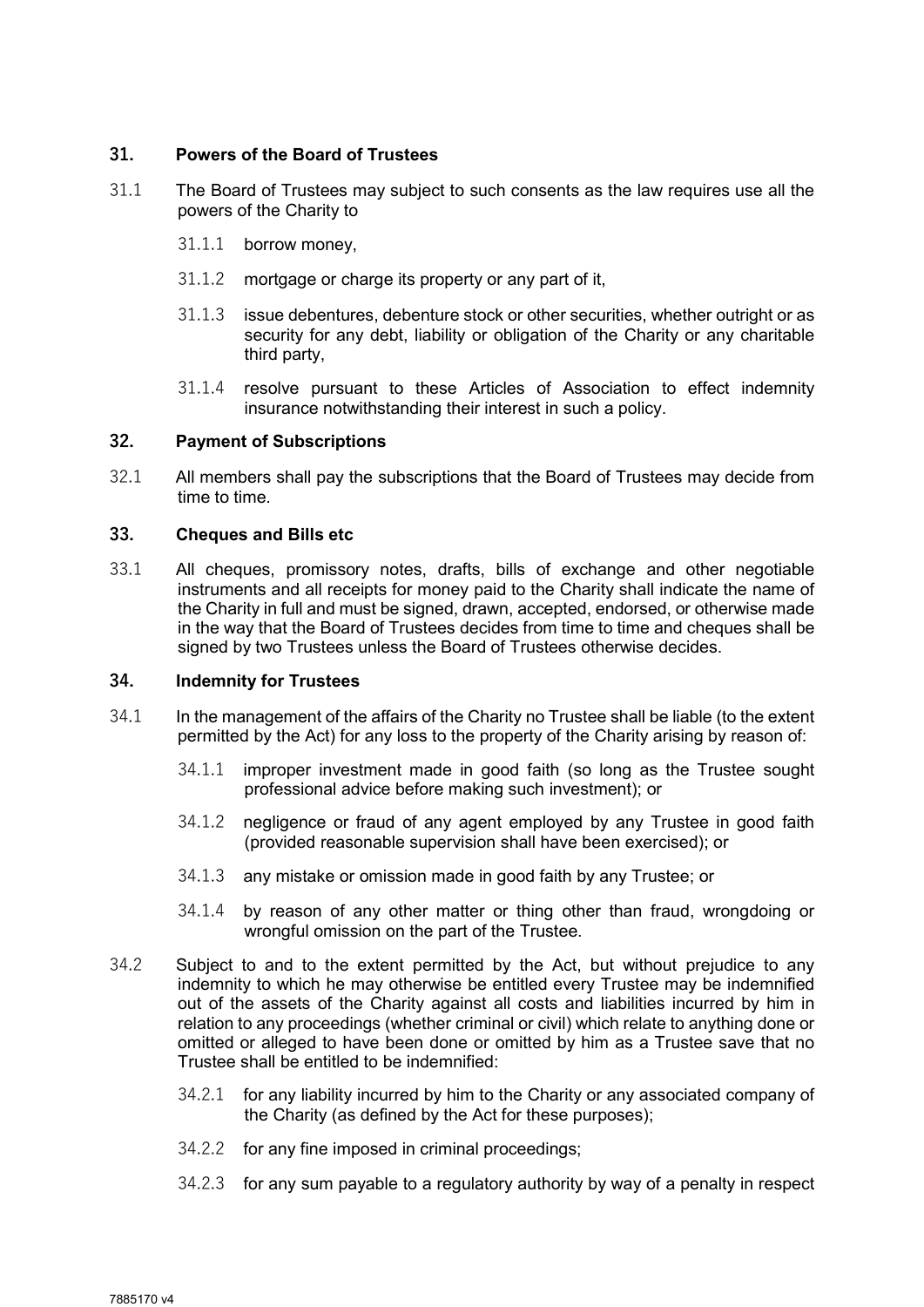# 31. Powers of the Board of Trustees

- 31.1 The Board of Trustees may subject to such consents as the law requires use all the powers of the Charity to
	- 31.1.1 borrow money,
	- 31.1.2 mortgage or charge its property or any part of it,
	- 31.1.3 issue debentures, debenture stock or other securities, whether outright or as security for any debt, liability or obligation of the Charity or any charitable third party,
	- 31.1.4 resolve pursuant to these Articles of Association to effect indemnity insurance notwithstanding their interest in such a policy.

#### 32. Payment of Subscriptions

32.1 All members shall pay the subscriptions that the Board of Trustees may decide from time to time.

#### 33. Cheques and Bills etc

33.1 All cheques, promissory notes, drafts, bills of exchange and other negotiable instruments and all receipts for money paid to the Charity shall indicate the name of the Charity in full and must be signed, drawn, accepted, endorsed, or otherwise made in the way that the Board of Trustees decides from time to time and cheques shall be signed by two Trustees unless the Board of Trustees otherwise decides.

# 34. Indemnity for Trustees

- 34.1 In the management of the affairs of the Charity no Trustee shall be liable (to the extent permitted by the Act) for any loss to the property of the Charity arising by reason of:
	- 34.1.1 improper investment made in good faith (so long as the Trustee sought professional advice before making such investment); or
	- 34.1.2 negligence or fraud of any agent employed by any Trustee in good faith (provided reasonable supervision shall have been exercised); or
	- 34.1.3 any mistake or omission made in good faith by any Trustee; or
	- 34.1.4 by reason of any other matter or thing other than fraud, wrongdoing or wrongful omission on the part of the Trustee.
- 34.2 Subject to and to the extent permitted by the Act, but without prejudice to any indemnity to which he may otherwise be entitled every Trustee may be indemnified out of the assets of the Charity against all costs and liabilities incurred by him in relation to any proceedings (whether criminal or civil) which relate to anything done or omitted or alleged to have been done or omitted by him as a Trustee save that no Trustee shall be entitled to be indemnified:
	- 34.2.1 for any liability incurred by him to the Charity or any associated company of the Charity (as defined by the Act for these purposes);
	- 34.2.2 for any fine imposed in criminal proceedings;
	- 34.2.3 for any sum payable to a regulatory authority by way of a penalty in respect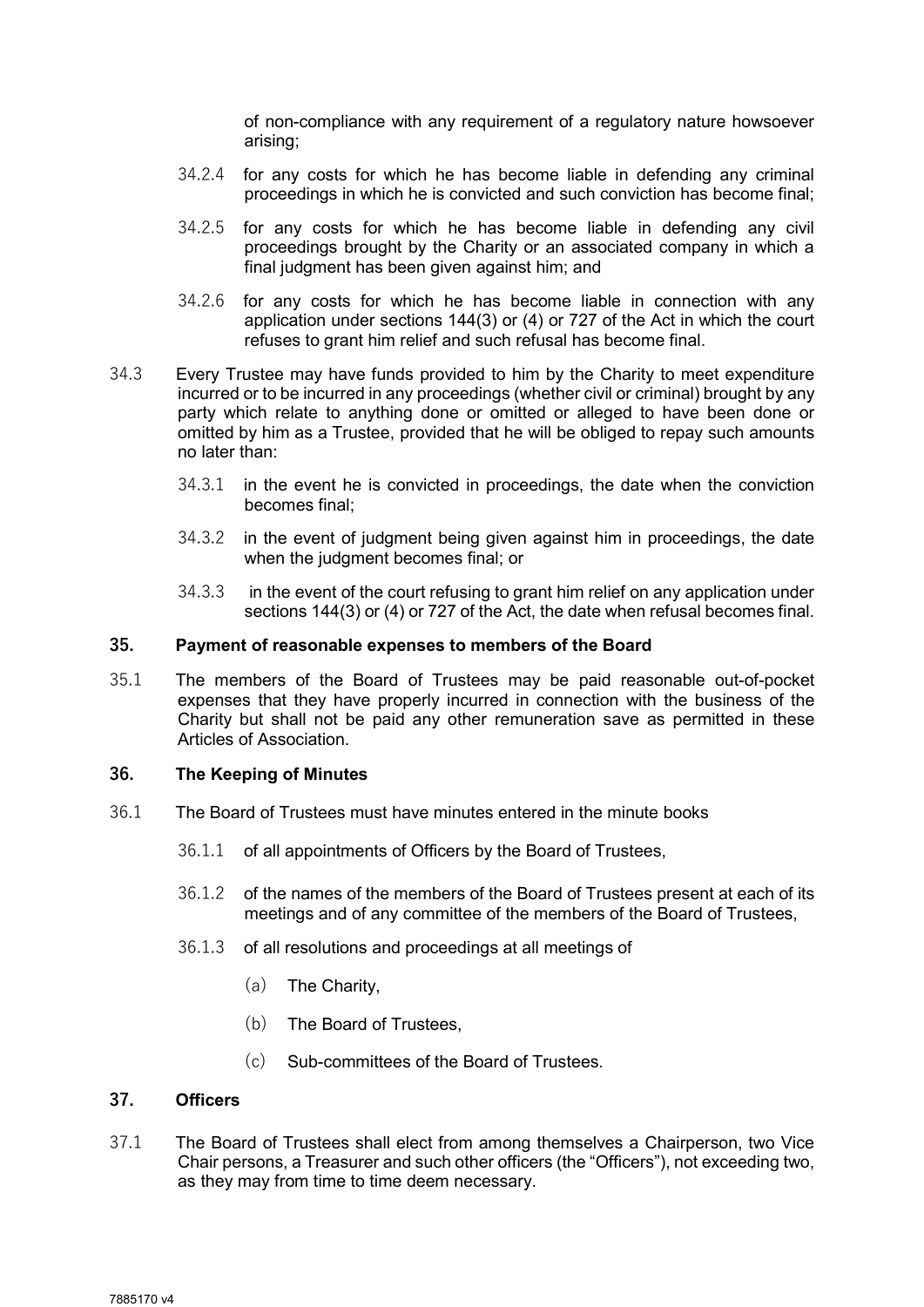of non-compliance with any requirement of a regulatory nature howsoever arising;

- 34.2.4 for any costs for which he has become liable in defending any criminal proceedings in which he is convicted and such conviction has become final;
- 34.2.5 for any costs for which he has become liable in defending any civil proceedings brought by the Charity or an associated company in which a final judgment has been given against him; and
- 34.2.6 for any costs for which he has become liable in connection with any application under sections 144(3) or (4) or 727 of the Act in which the court refuses to grant him relief and such refusal has become final.
- 34.3 Every Trustee may have funds provided to him by the Charity to meet expenditure incurred or to be incurred in any proceedings (whether civil or criminal) brought by any party which relate to anything done or omitted or alleged to have been done or omitted by him as a Trustee, provided that he will be obliged to repay such amounts no later than:
	- 34.3.1 in the event he is convicted in proceedings, the date when the conviction becomes final;
	- 34.3.2 in the event of judgment being given against him in proceedings, the date when the judgment becomes final; or
	- 34.3.3 in the event of the court refusing to grant him relief on any application under sections 144(3) or (4) or 727 of the Act, the date when refusal becomes final.

#### 35. Payment of reasonable expenses to members of the Board

35.1 The members of the Board of Trustees may be paid reasonable out-of-pocket expenses that they have properly incurred in connection with the business of the Charity but shall not be paid any other remuneration save as permitted in these Articles of Association.

#### 36. The Keeping of Minutes

- 36.1 The Board of Trustees must have minutes entered in the minute books
	- 36.1.1 of all appointments of Officers by the Board of Trustees,
	- 36.1.2 of the names of the members of the Board of Trustees present at each of its meetings and of any committee of the members of the Board of Trustees,
	- 36.1.3 of all resolutions and proceedings at all meetings of
		- (a) The Charity,
		- (b) The Board of Trustees,
		- (c) Sub-committees of the Board of Trustees.

#### 37. Officers

37.1 The Board of Trustees shall elect from among themselves a Chairperson, two Vice Chair persons, a Treasurer and such other officers (the "Officers"), not exceeding two, as they may from time to time deem necessary.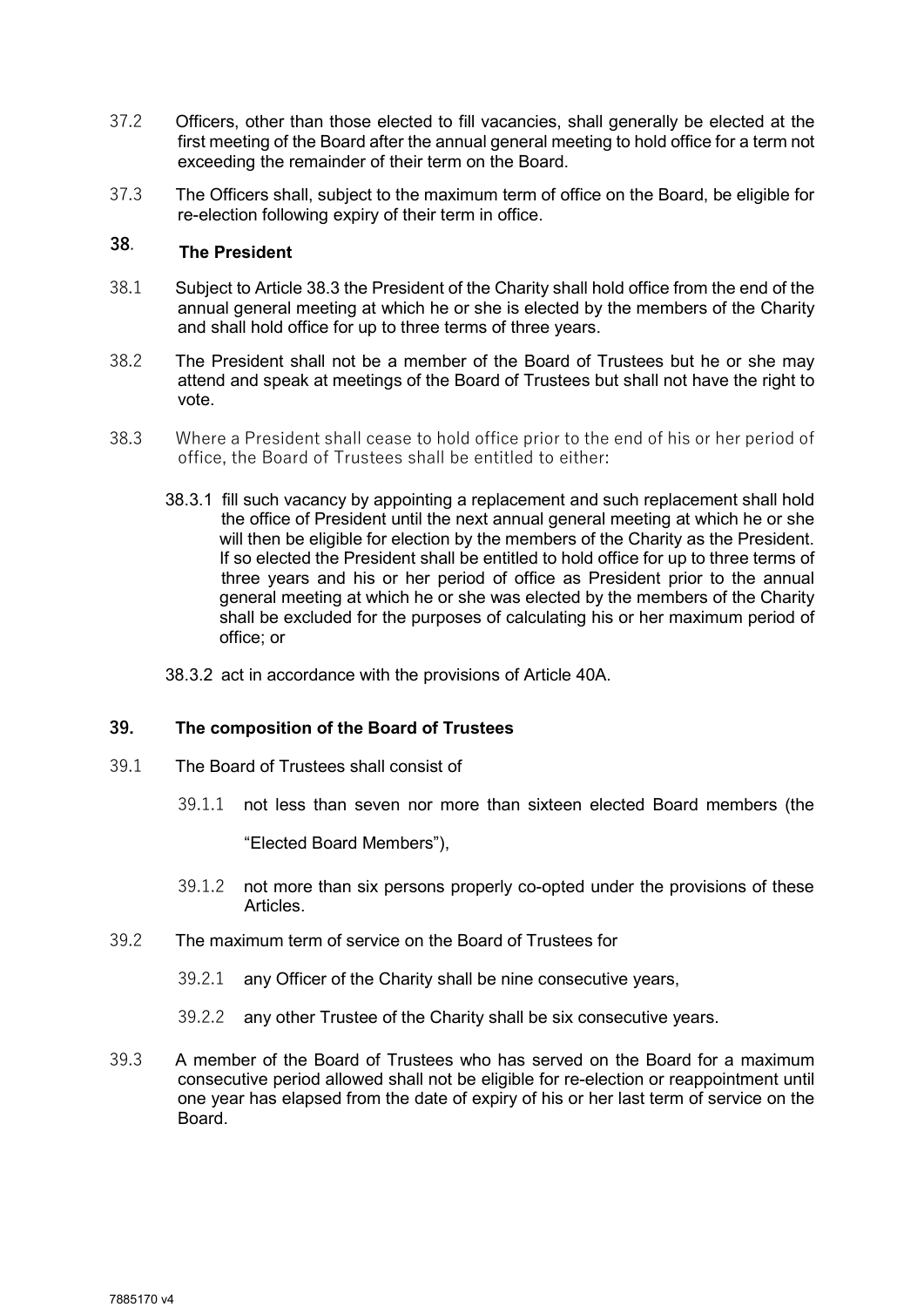- 37.2 Officers, other than those elected to fill vacancies, shall generally be elected at the first meeting of the Board after the annual general meeting to hold office for a term not exceeding the remainder of their term on the Board.
- 37.3 The Officers shall, subject to the maximum term of office on the Board, be eligible for re-election following expiry of their term in office.

#### 38. The President

- 38.1 Subject to Article 38.3 the President of the Charity shall hold office from the end of the annual general meeting at which he or she is elected by the members of the Charity and shall hold office for up to three terms of three years.
- 38.2 The President shall not be a member of the Board of Trustees but he or she may attend and speak at meetings of the Board of Trustees but shall not have the right to vote.
- 38.3 Where a President shall cease to hold office prior to the end of his or her period of office, the Board of Trustees shall be entitled to either:
	- 38.3.1 fill such vacancy by appointing a replacement and such replacement shall hold the office of President until the next annual general meeting at which he or she will then be eligible for election by the members of the Charity as the President. If so elected the President shall be entitled to hold office for up to three terms of three years and his or her period of office as President prior to the annual general meeting at which he or she was elected by the members of the Charity shall be excluded for the purposes of calculating his or her maximum period of office; or
	- 38.3.2 act in accordance with the provisions of Article 40A.

#### 39. The composition of the Board of Trustees

- 39.1 The Board of Trustees shall consist of
	- 39.1.1 not less than seven nor more than sixteen elected Board members (the

"Elected Board Members"),

- 39.1.2 not more than six persons properly co-opted under the provisions of these Articles.
- 39.2 The maximum term of service on the Board of Trustees for
	- 39.2.1 any Officer of the Charity shall be nine consecutive years,
	- 39.2.2 any other Trustee of the Charity shall be six consecutive years.
- 39.3 A member of the Board of Trustees who has served on the Board for a maximum consecutive period allowed shall not be eligible for re-election or reappointment until one year has elapsed from the date of expiry of his or her last term of service on the Board.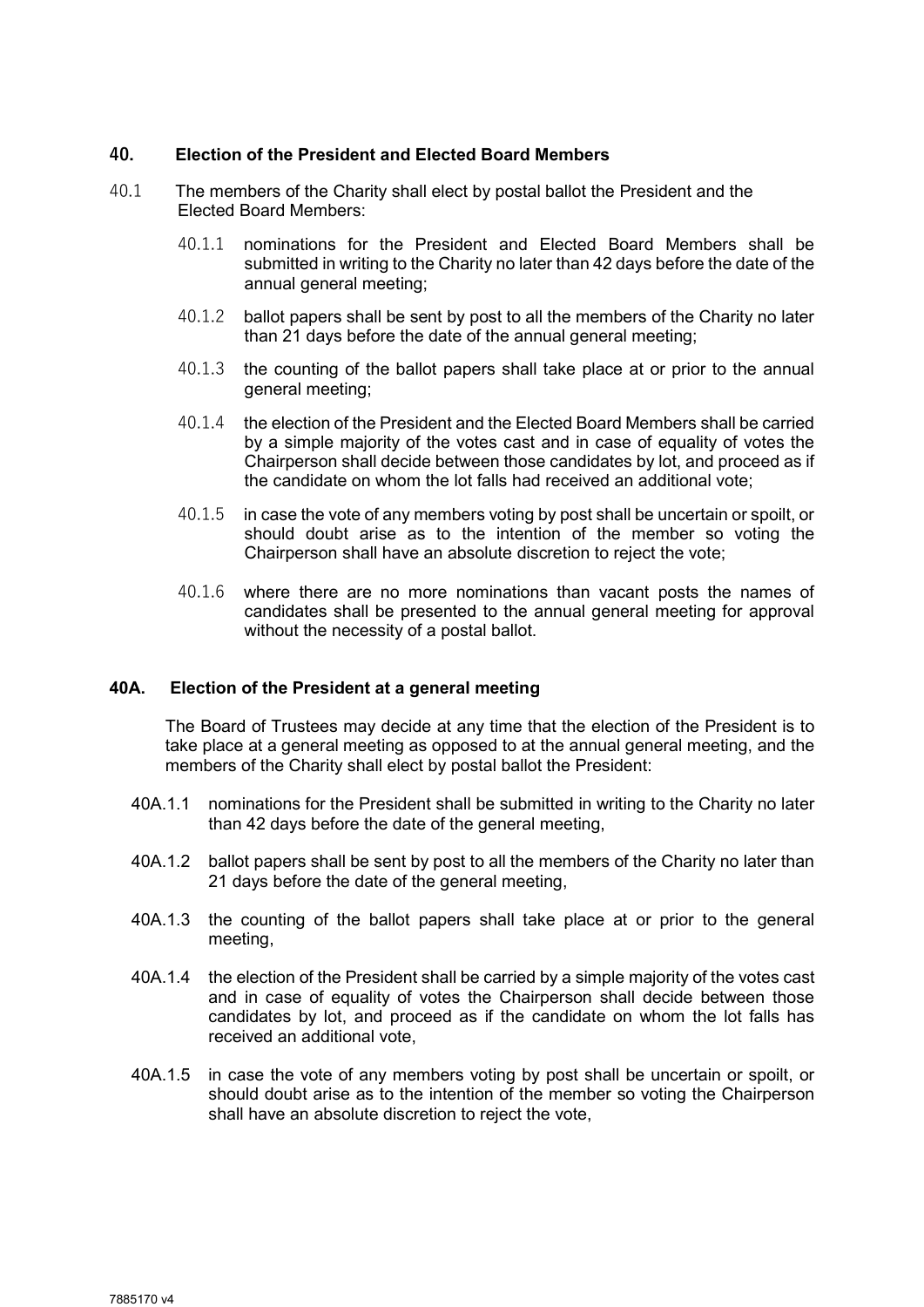#### 40. Election of the President and Elected Board Members

- 40.1 The members of the Charity shall elect by postal ballot the President and the Elected Board Members:
	- 40.1.1 nominations for the President and Elected Board Members shall be submitted in writing to the Charity no later than 42 days before the date of the annual general meeting;
	- 40.1.2 ballot papers shall be sent by post to all the members of the Charity no later than 21 days before the date of the annual general meeting;
	- 40.1.3 the counting of the ballot papers shall take place at or prior to the annual general meeting;
	- 40.1.4 the election of the President and the Elected Board Members shall be carried by a simple majority of the votes cast and in case of equality of votes the Chairperson shall decide between those candidates by lot, and proceed as if the candidate on whom the lot falls had received an additional vote;
	- 40.1.5 in case the vote of any members voting by post shall be uncertain or spoilt, or should doubt arise as to the intention of the member so voting the Chairperson shall have an absolute discretion to reject the vote;
	- 40.1.6 where there are no more nominations than vacant posts the names of candidates shall be presented to the annual general meeting for approval without the necessity of a postal ballot.

#### 40A. Election of the President at a general meeting

The Board of Trustees may decide at any time that the election of the President is to take place at a general meeting as opposed to at the annual general meeting, and the members of the Charity shall elect by postal ballot the President:

- 40A.1.1 nominations for the President shall be submitted in writing to the Charity no later than 42 days before the date of the general meeting,
- 40A.1.2 ballot papers shall be sent by post to all the members of the Charity no later than 21 days before the date of the general meeting,
- 40A.1.3 the counting of the ballot papers shall take place at or prior to the general meeting,
- 40A.1.4 the election of the President shall be carried by a simple majority of the votes cast and in case of equality of votes the Chairperson shall decide between those candidates by lot, and proceed as if the candidate on whom the lot falls has received an additional vote,
- 40A.1.5 in case the vote of any members voting by post shall be uncertain or spoilt, or should doubt arise as to the intention of the member so voting the Chairperson shall have an absolute discretion to reject the vote,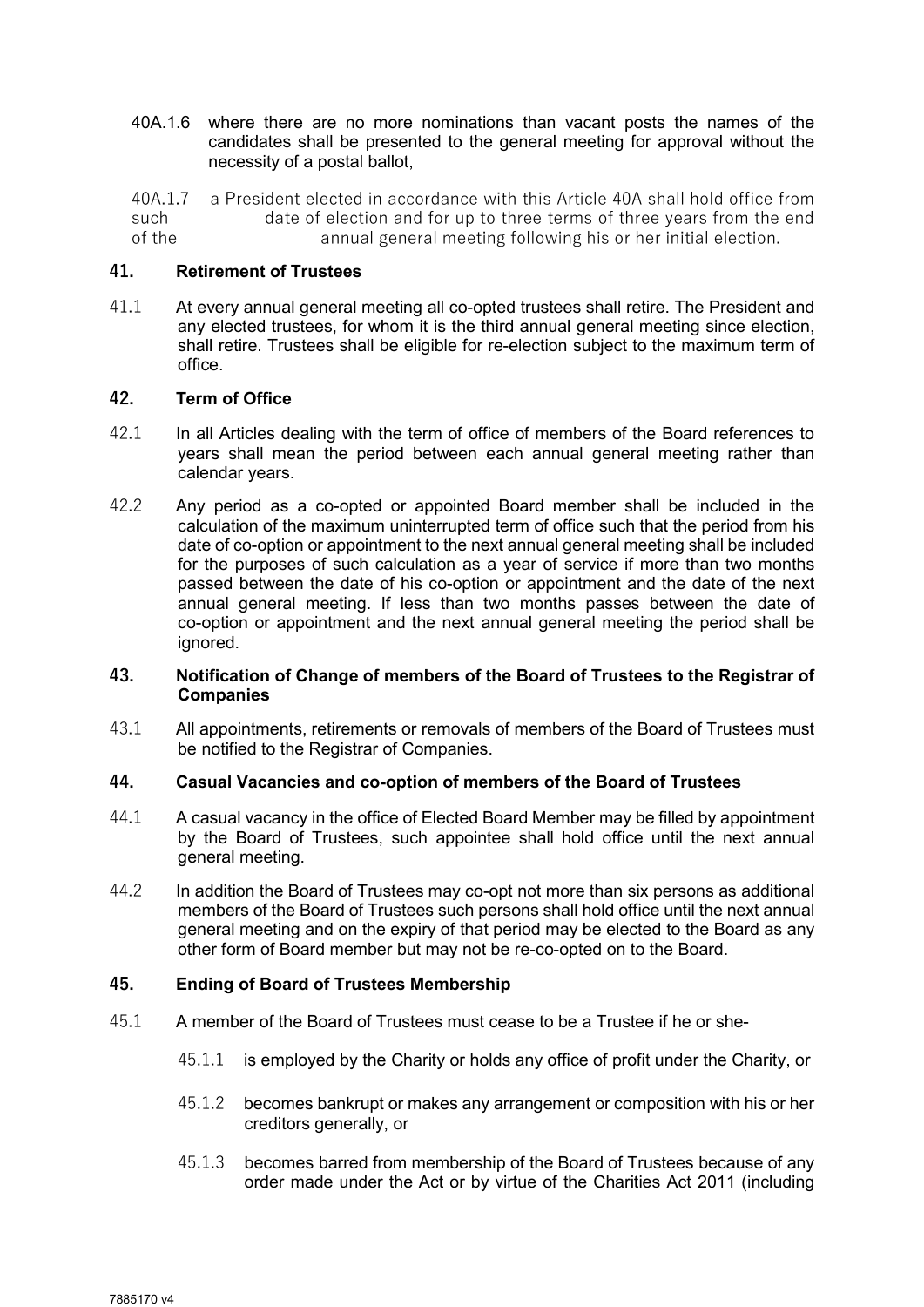40A.1.6 where there are no more nominations than vacant posts the names of the candidates shall be presented to the general meeting for approval without the necessity of a postal ballot,

40A.1.7 a President elected in accordance with this Article 40A shall hold office from such date of election and for up to three terms of three years from the end<br>of the annual general meeting following his or her initial election. annual general meeting following his or her initial election.

## 41. Retirement of Trustees

41.1 At every annual general meeting all co-opted trustees shall retire. The President and any elected trustees, for whom it is the third annual general meeting since election, shall retire. Trustees shall be eligible for re-election subject to the maximum term of office.

#### 42. Term of Office

- 42.1 In all Articles dealing with the term of office of members of the Board references to years shall mean the period between each annual general meeting rather than calendar years.
- 42.2 Any period as a co-opted or appointed Board member shall be included in the calculation of the maximum uninterrupted term of office such that the period from his date of co-option or appointment to the next annual general meeting shall be included for the purposes of such calculation as a year of service if more than two months passed between the date of his co-option or appointment and the date of the next annual general meeting. If less than two months passes between the date of co-option or appointment and the next annual general meeting the period shall be ignored.

#### 43. Notification of Change of members of the Board of Trustees to the Registrar of **Companies**

43.1 All appointments, retirements or removals of members of the Board of Trustees must be notified to the Registrar of Companies.

# 44. Casual Vacancies and co-option of members of the Board of Trustees

- 44.1 A casual vacancy in the office of Elected Board Member may be filled by appointment by the Board of Trustees, such appointee shall hold office until the next annual general meeting.
- 44.2 In addition the Board of Trustees may co-opt not more than six persons as additional members of the Board of Trustees such persons shall hold office until the next annual general meeting and on the expiry of that period may be elected to the Board as any other form of Board member but may not be re-co-opted on to the Board.

# 45. Ending of Board of Trustees Membership

- 45.1 A member of the Board of Trustees must cease to be a Trustee if he or she-
	- 45.1.1 is employed by the Charity or holds any office of profit under the Charity, or
	- 45.1.2 becomes bankrupt or makes any arrangement or composition with his or her creditors generally, or
	- 45.1.3 becomes barred from membership of the Board of Trustees because of any order made under the Act or by virtue of the Charities Act 2011 (including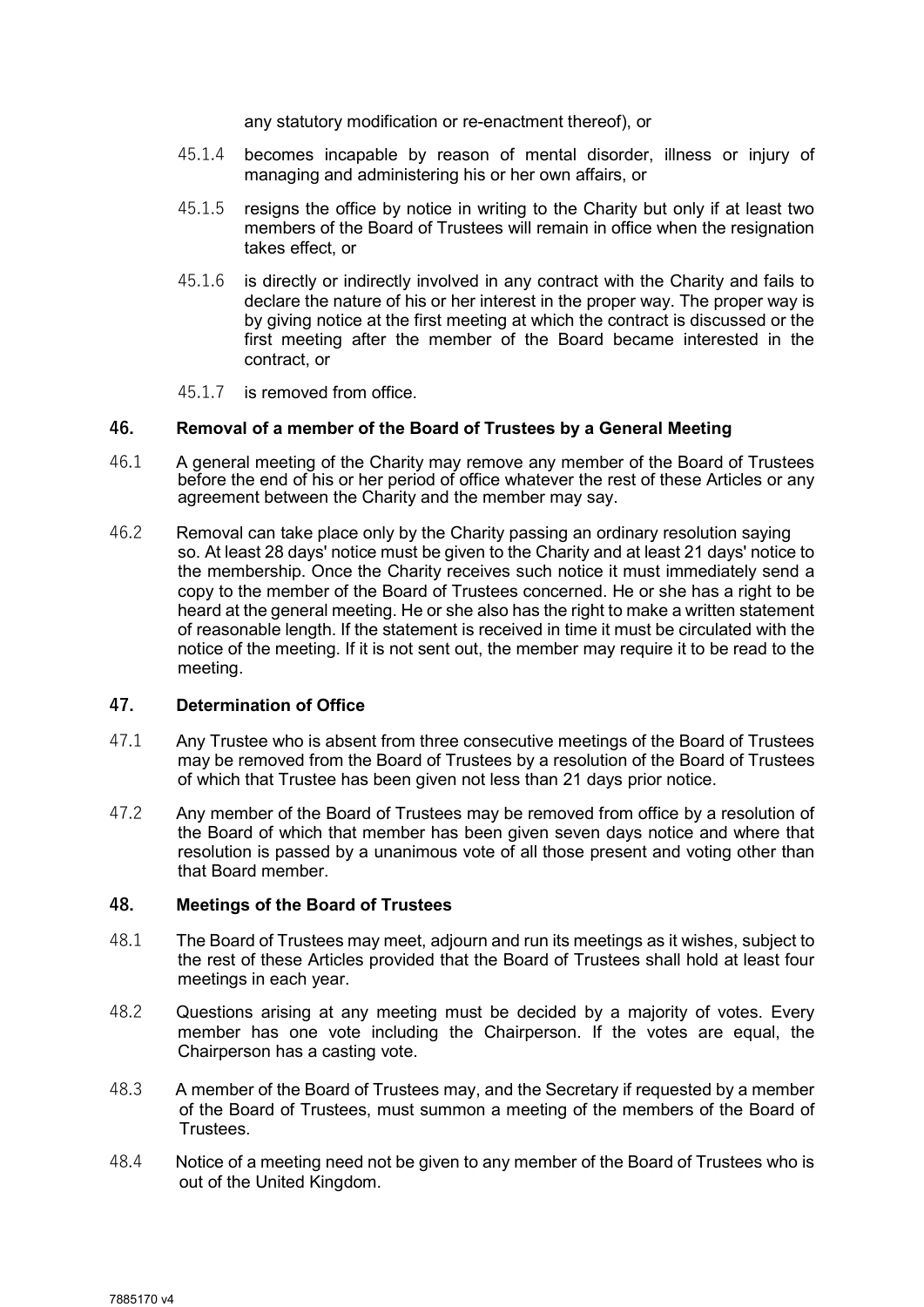any statutory modification or re-enactment thereof), or

- 45.1.4 becomes incapable by reason of mental disorder, illness or injury of managing and administering his or her own affairs, or
- 45.1.5 resigns the office by notice in writing to the Charity but only if at least two members of the Board of Trustees will remain in office when the resignation takes effect, or
- 45.1.6 is directly or indirectly involved in any contract with the Charity and fails to declare the nature of his or her interest in the proper way. The proper way is by giving notice at the first meeting at which the contract is discussed or the first meeting after the member of the Board became interested in the contract, or

45.1.7 is removed from office.

#### 46. Removal of a member of the Board of Trustees by a General Meeting

- 46.1 A general meeting of the Charity may remove any member of the Board of Trustees before the end of his or her period of office whatever the rest of these Articles or any agreement between the Charity and the member may say.
- 46.2 Removal can take place only by the Charity passing an ordinary resolution saying so. At least 28 days' notice must be given to the Charity and at least 21 days' notice to the membership. Once the Charity receives such notice it must immediately send a copy to the member of the Board of Trustees concerned. He or she has a right to be heard at the general meeting. He or she also has the right to make a written statement of reasonable length. If the statement is received in time it must be circulated with the notice of the meeting. If it is not sent out, the member may require it to be read to the meeting.

#### 47. Determination of Office

- 47.1 Any Trustee who is absent from three consecutive meetings of the Board of Trustees may be removed from the Board of Trustees by a resolution of the Board of Trustees of which that Trustee has been given not less than 21 days prior notice.
- 47.2 Any member of the Board of Trustees may be removed from office by a resolution of the Board of which that member has been given seven days notice and where that resolution is passed by a unanimous vote of all those present and voting other than that Board member.

#### 48. Meetings of the Board of Trustees

- 48.1 The Board of Trustees may meet, adjourn and run its meetings as it wishes, subject to the rest of these Articles provided that the Board of Trustees shall hold at least four meetings in each year.
- 48.2 Questions arising at any meeting must be decided by a majority of votes. Every member has one vote including the Chairperson. If the votes are equal, the Chairperson has a casting vote.
- 48.3 A member of the Board of Trustees may, and the Secretary if requested by a member of the Board of Trustees, must summon a meeting of the members of the Board of Trustees.
- 48.4 Notice of a meeting need not be given to any member of the Board of Trustees who is out of the United Kingdom.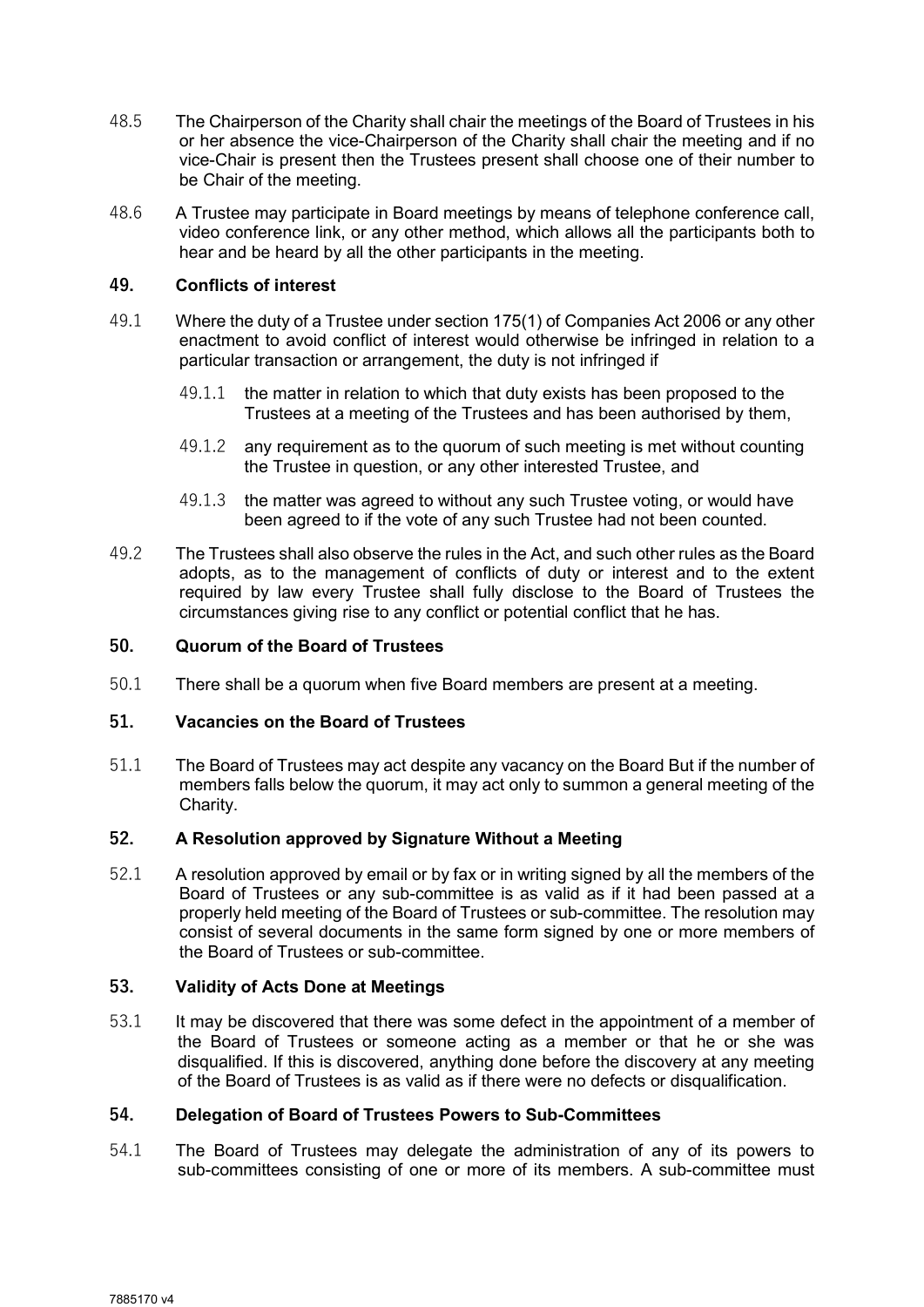- 48.5 The Chairperson of the Charity shall chair the meetings of the Board of Trustees in his or her absence the vice-Chairperson of the Charity shall chair the meeting and if no vice-Chair is present then the Trustees present shall choose one of their number to be Chair of the meeting.
- 48.6 A Trustee may participate in Board meetings by means of telephone conference call, video conference link, or any other method, which allows all the participants both to hear and be heard by all the other participants in the meeting.

## 49. Conflicts of interest

- 49.1 Where the duty of a Trustee under section 175(1) of Companies Act 2006 or any other enactment to avoid conflict of interest would otherwise be infringed in relation to a particular transaction or arrangement, the duty is not infringed if
	- 49.1.1 the matter in relation to which that duty exists has been proposed to the Trustees at a meeting of the Trustees and has been authorised by them,
	- 49.1.2 any requirement as to the quorum of such meeting is met without counting the Trustee in question, or any other interested Trustee, and
	- 49.1.3 the matter was agreed to without any such Trustee voting, or would have been agreed to if the vote of any such Trustee had not been counted.
- 49.2 The Trustees shall also observe the rules in the Act, and such other rules as the Board adopts, as to the management of conflicts of duty or interest and to the extent required by law every Trustee shall fully disclose to the Board of Trustees the circumstances giving rise to any conflict or potential conflict that he has.

#### 50. Quorum of the Board of Trustees

50.1 There shall be a quorum when five Board members are present at a meeting.

#### 51. Vacancies on the Board of Trustees

51.1 The Board of Trustees may act despite any vacancy on the Board But if the number of members falls below the quorum, it may act only to summon a general meeting of the Charity.

# 52. A Resolution approved by Signature Without a Meeting

52.1 A resolution approved by email or by fax or in writing signed by all the members of the Board of Trustees or any sub-committee is as valid as if it had been passed at a properly held meeting of the Board of Trustees or sub-committee. The resolution may consist of several documents in the same form signed by one or more members of the Board of Trustees or sub-committee.

#### 53. Validity of Acts Done at Meetings

53.1 It may be discovered that there was some defect in the appointment of a member of the Board of Trustees or someone acting as a member or that he or she was disqualified. If this is discovered, anything done before the discovery at any meeting of the Board of Trustees is as valid as if there were no defects or disqualification.

#### 54. Delegation of Board of Trustees Powers to Sub-Committees

54.1 The Board of Trustees may delegate the administration of any of its powers to sub-committees consisting of one or more of its members. A sub-committee must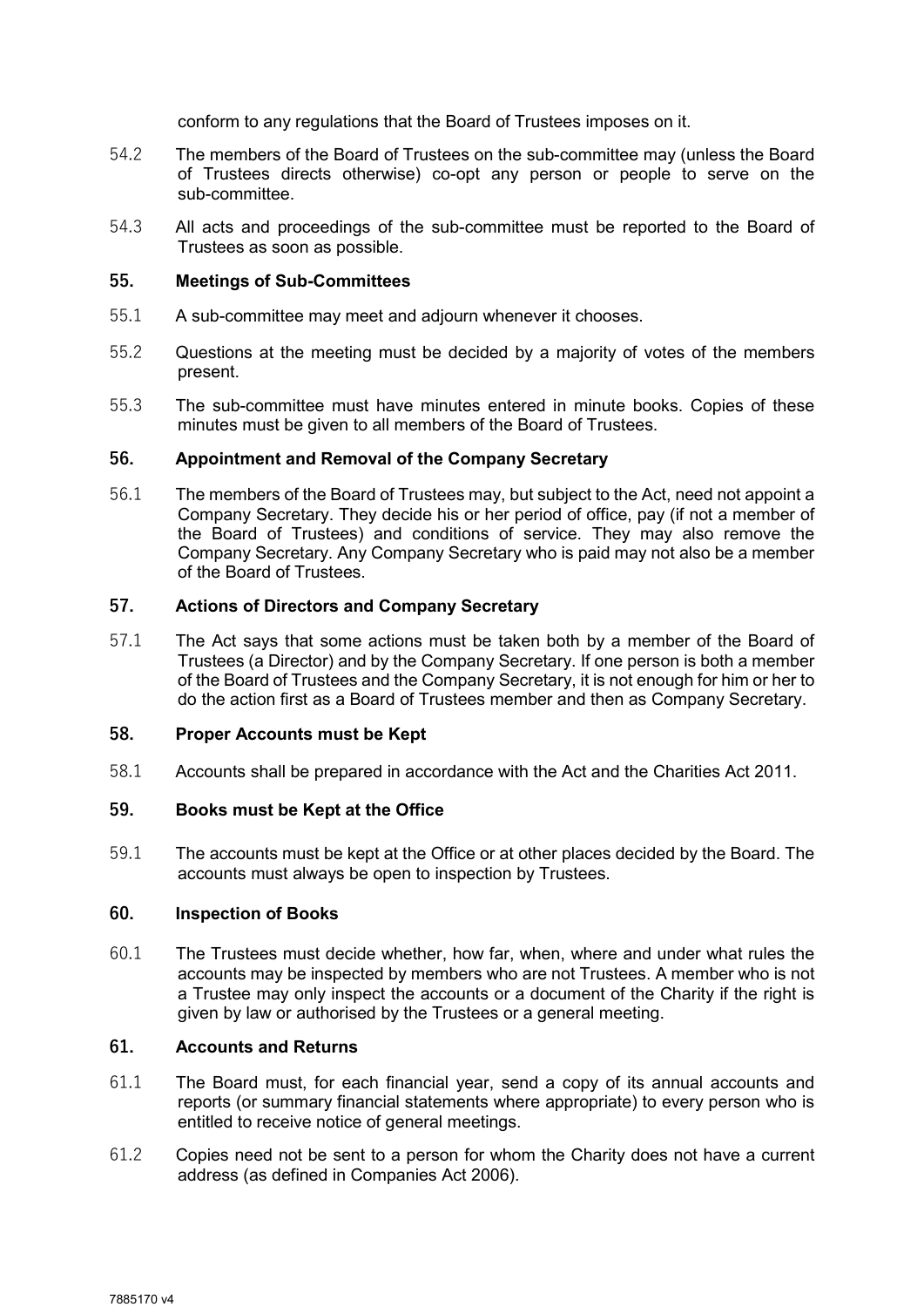conform to any regulations that the Board of Trustees imposes on it.

- 54.2 The members of the Board of Trustees on the sub-committee may (unless the Board of Trustees directs otherwise) co-opt any person or people to serve on the sub-committee.
- 54.3 All acts and proceedings of the sub-committee must be reported to the Board of Trustees as soon as possible.

#### 55. Meetings of Sub-Committees

- 55.1 A sub-committee may meet and adjourn whenever it chooses.
- 55.2 Questions at the meeting must be decided by a majority of votes of the members present.
- 55.3 The sub-committee must have minutes entered in minute books. Copies of these minutes must be given to all members of the Board of Trustees.

#### 56. Appointment and Removal of the Company Secretary

56.1 The members of the Board of Trustees may, but subject to the Act, need not appoint a Company Secretary. They decide his or her period of office, pay (if not a member of the Board of Trustees) and conditions of service. They may also remove the Company Secretary. Any Company Secretary who is paid may not also be a member of the Board of Trustees.

# 57. Actions of Directors and Company Secretary

57.1 The Act says that some actions must be taken both by a member of the Board of Trustees (a Director) and by the Company Secretary. If one person is both a member of the Board of Trustees and the Company Secretary, it is not enough for him or her to do the action first as a Board of Trustees member and then as Company Secretary.

#### 58. Proper Accounts must be Kept

58.1 Accounts shall be prepared in accordance with the Act and the Charities Act 2011.

#### 59. Books must be Kept at the Office

59.1 The accounts must be kept at the Office or at other places decided by the Board. The accounts must always be open to inspection by Trustees.

#### 60. Inspection of Books

60.1 The Trustees must decide whether, how far, when, where and under what rules the accounts may be inspected by members who are not Trustees. A member who is not a Trustee may only inspect the accounts or a document of the Charity if the right is given by law or authorised by the Trustees or a general meeting.

# 61. Accounts and Returns

- 61.1 The Board must, for each financial year, send a copy of its annual accounts and reports (or summary financial statements where appropriate) to every person who is entitled to receive notice of general meetings.
- 61.2 Copies need not be sent to a person for whom the Charity does not have a current address (as defined in Companies Act 2006).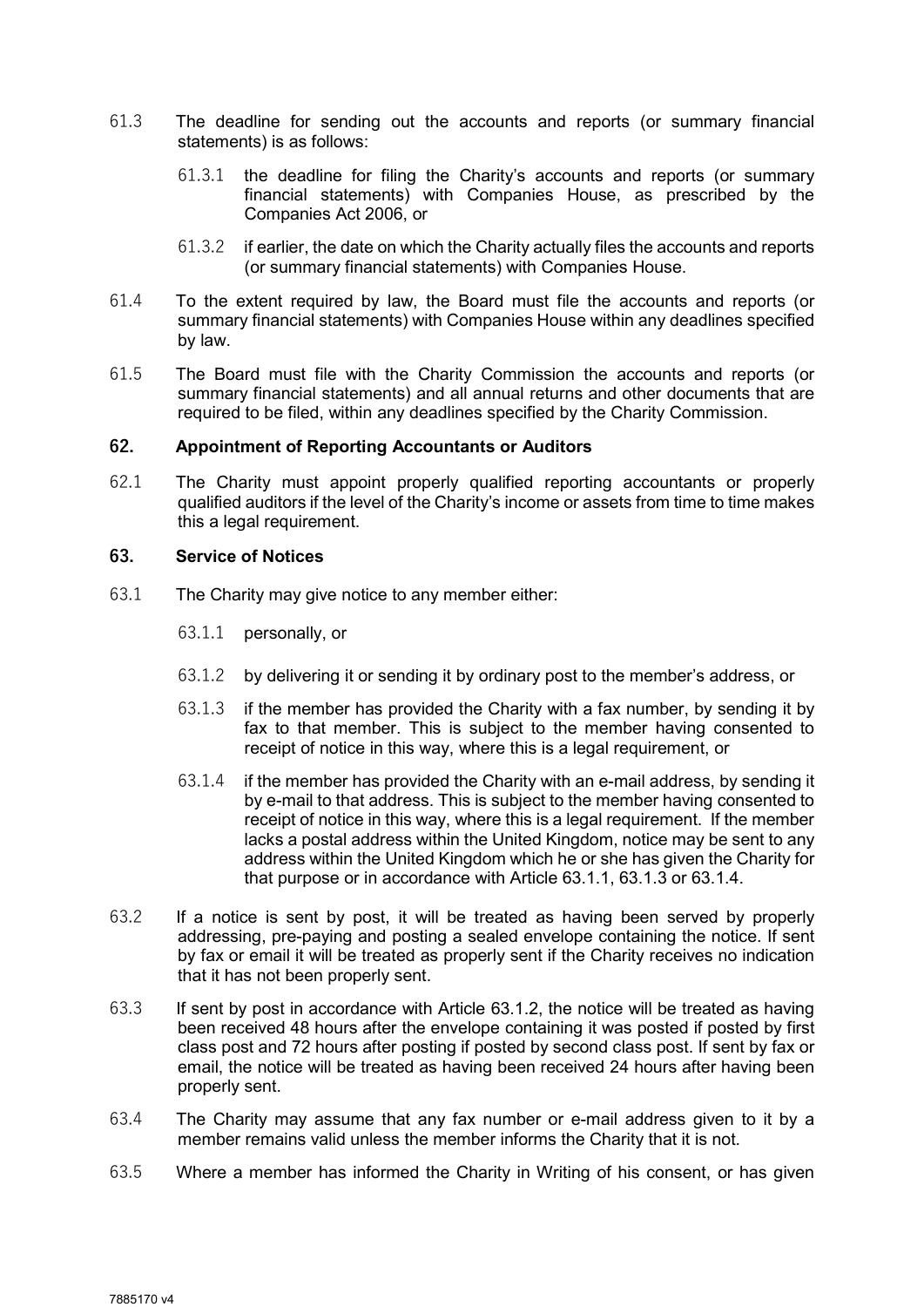- 61.3 The deadline for sending out the accounts and reports (or summary financial statements) is as follows:
	- 61.3.1 the deadline for filing the Charity's accounts and reports (or summary financial statements) with Companies House, as prescribed by the Companies Act 2006, or
	- 61.3.2 if earlier, the date on which the Charity actually files the accounts and reports (or summary financial statements) with Companies House.
- 61.4 To the extent required by law, the Board must file the accounts and reports (or summary financial statements) with Companies House within any deadlines specified by law.
- 61.5 The Board must file with the Charity Commission the accounts and reports (or summary financial statements) and all annual returns and other documents that are required to be filed, within any deadlines specified by the Charity Commission.

#### 62. Appointment of Reporting Accountants or Auditors

62.1 The Charity must appoint properly qualified reporting accountants or properly qualified auditors if the level of the Charity's income or assets from time to time makes this a legal requirement.

#### 63. Service of Notices

- 63.1 The Charity may give notice to any member either:
	- 63.1.1 personally, or
	- 63.1.2 by delivering it or sending it by ordinary post to the member's address, or
	- 63.1.3 if the member has provided the Charity with a fax number, by sending it by fax to that member. This is subject to the member having consented to receipt of notice in this way, where this is a legal requirement, or
	- 63.1.4 if the member has provided the Charity with an e-mail address, by sending it by e-mail to that address. This is subject to the member having consented to receipt of notice in this way, where this is a legal requirement. If the member lacks a postal address within the United Kingdom, notice may be sent to any address within the United Kingdom which he or she has given the Charity for that purpose or in accordance with Article 63.1.1, 63.1.3 or 63.1.4.
- 63.2 If a notice is sent by post, it will be treated as having been served by properly addressing, pre-paying and posting a sealed envelope containing the notice. If sent by fax or email it will be treated as properly sent if the Charity receives no indication that it has not been properly sent.
- 63.3 If sent by post in accordance with Article 63.1.2, the notice will be treated as having been received 48 hours after the envelope containing it was posted if posted by first class post and 72 hours after posting if posted by second class post. If sent by fax or email, the notice will be treated as having been received 24 hours after having been properly sent.
- 63.4 The Charity may assume that any fax number or e-mail address given to it by a member remains valid unless the member informs the Charity that it is not.
- 63.5 Where a member has informed the Charity in Writing of his consent, or has given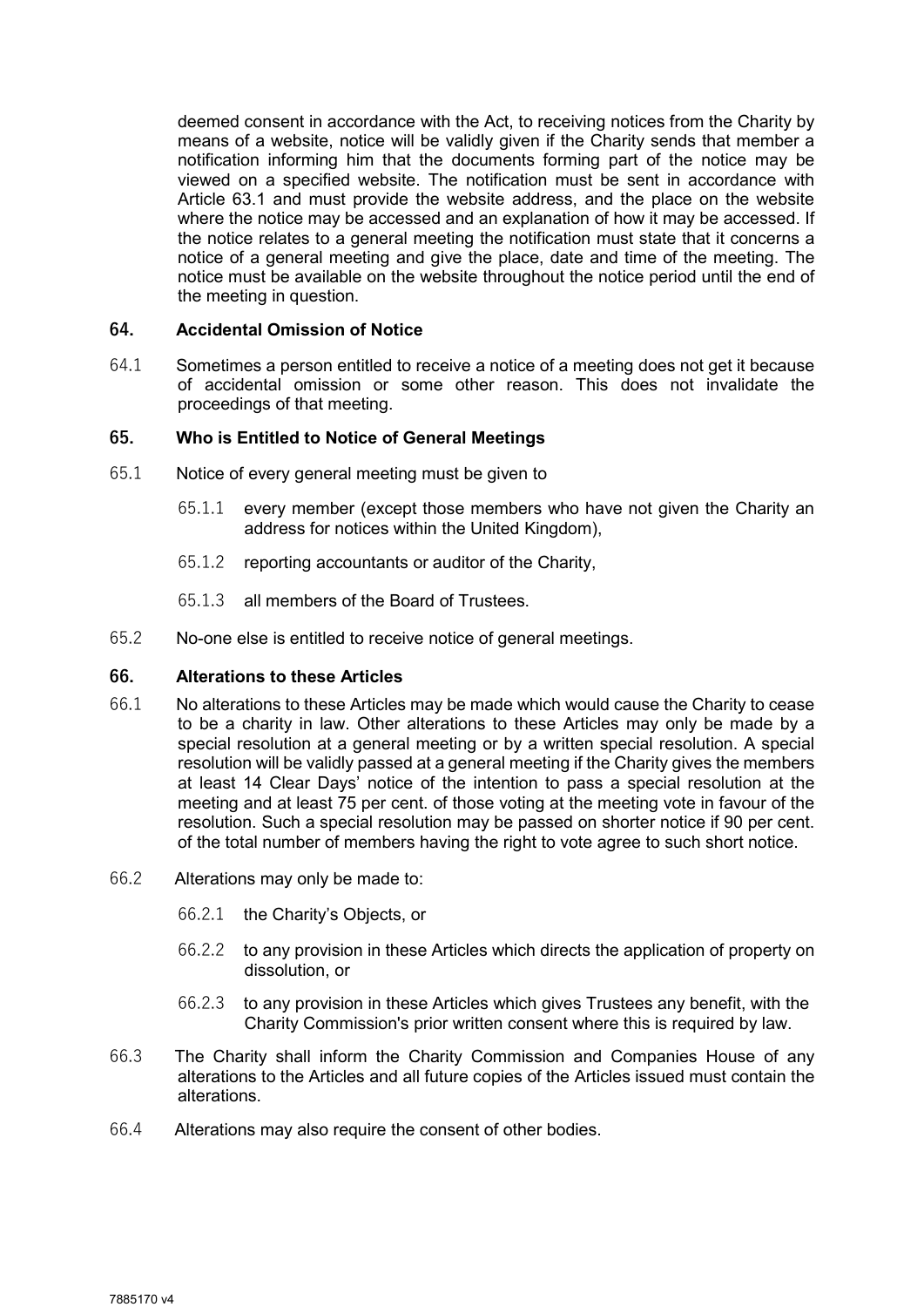deemed consent in accordance with the Act, to receiving notices from the Charity by means of a website, notice will be validly given if the Charity sends that member a notification informing him that the documents forming part of the notice may be viewed on a specified website. The notification must be sent in accordance with Article 63.1 and must provide the website address, and the place on the website where the notice may be accessed and an explanation of how it may be accessed. If the notice relates to a general meeting the notification must state that it concerns a notice of a general meeting and give the place, date and time of the meeting. The notice must be available on the website throughout the notice period until the end of the meeting in question.

#### 64. Accidental Omission of Notice

64.1 Sometimes a person entitled to receive a notice of a meeting does not get it because of accidental omission or some other reason. This does not invalidate the proceedings of that meeting.

# 65. Who is Entitled to Notice of General Meetings

- 65.1 Notice of every general meeting must be given to
	- 65.1.1 every member (except those members who have not given the Charity an address for notices within the United Kingdom),
	- 65.1.2 reporting accountants or auditor of the Charity,
	- 65.1.3 all members of the Board of Trustees.
- 65.2 No-one else is entitled to receive notice of general meetings.

#### 66. Alterations to these Articles

- 66.1 No alterations to these Articles may be made which would cause the Charity to cease to be a charity in law. Other alterations to these Articles may only be made by a special resolution at a general meeting or by a written special resolution. A special resolution will be validly passed at a general meeting if the Charity gives the members at least 14 Clear Days' notice of the intention to pass a special resolution at the meeting and at least 75 per cent. of those voting at the meeting vote in favour of the resolution. Such a special resolution may be passed on shorter notice if 90 per cent. of the total number of members having the right to vote agree to such short notice.
- 66.2 Alterations may only be made to:
	- 66.2.1 the Charity's Objects, or
	- 66.2.2 to any provision in these Articles which directs the application of property on dissolution, or
	- 66.2.3 to any provision in these Articles which gives Trustees any benefit, with the Charity Commission's prior written consent where this is required by law.
- 66.3 The Charity shall inform the Charity Commission and Companies House of any alterations to the Articles and all future copies of the Articles issued must contain the alterations.
- 66.4 Alterations may also require the consent of other bodies.